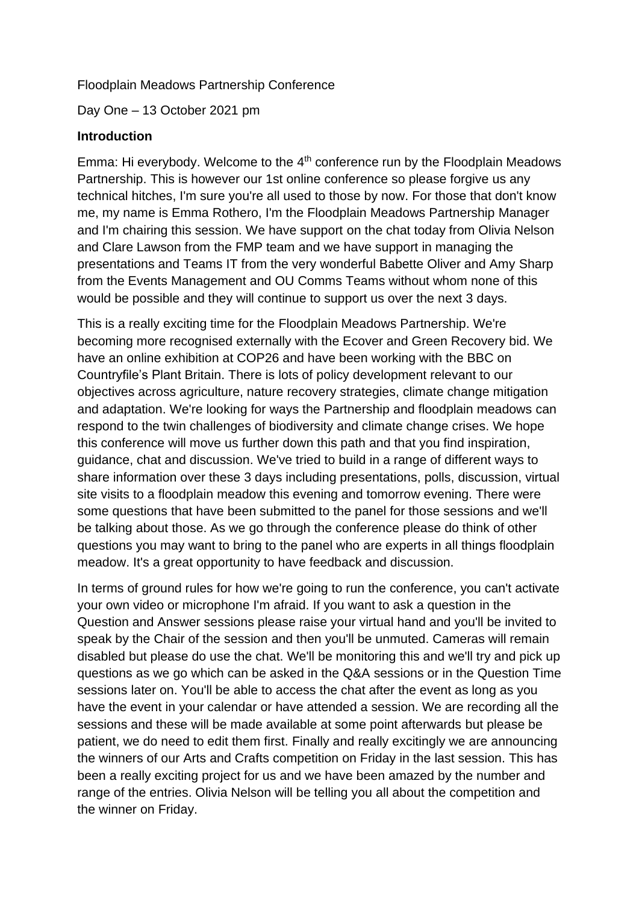### Floodplain Meadows Partnership Conference

Day One – 13 October 2021 pm

#### **Introduction**

Emma: Hi everybody. Welcome to the 4<sup>th</sup> conference run by the Floodplain Meadows Partnership. This is however our 1st online conference so please forgive us any technical hitches, I'm sure you're all used to those by now. For those that don't know me, my name is Emma Rothero, I'm the Floodplain Meadows Partnership Manager and I'm chairing this session. We have support on the chat today from Olivia Nelson and Clare Lawson from the FMP team and we have support in managing the presentations and Teams IT from the very wonderful Babette Oliver and Amy Sharp from the Events Management and OU Comms Teams without whom none of this would be possible and they will continue to support us over the next 3 days.

This is a really exciting time for the Floodplain Meadows Partnership. We're becoming more recognised externally with the Ecover and Green Recovery bid. We have an online exhibition at COP26 and have been working with the BBC on Countryfile's Plant Britain. There is lots of policy development relevant to our objectives across agriculture, nature recovery strategies, climate change mitigation and adaptation. We're looking for ways the Partnership and floodplain meadows can respond to the twin challenges of biodiversity and climate change crises. We hope this conference will move us further down this path and that you find inspiration, guidance, chat and discussion. We've tried to build in a range of different ways to share information over these 3 days including presentations, polls, discussion, virtual site visits to a floodplain meadow this evening and tomorrow evening. There were some questions that have been submitted to the panel for those sessions and we'll be talking about those. As we go through the conference please do think of other questions you may want to bring to the panel who are experts in all things floodplain meadow. It's a great opportunity to have feedback and discussion.

In terms of ground rules for how we're going to run the conference, you can't activate your own video or microphone I'm afraid. If you want to ask a question in the Question and Answer sessions please raise your virtual hand and you'll be invited to speak by the Chair of the session and then you'll be unmuted. Cameras will remain disabled but please do use the chat. We'll be monitoring this and we'll try and pick up questions as we go which can be asked in the Q&A sessions or in the Question Time sessions later on. You'll be able to access the chat after the event as long as you have the event in your calendar or have attended a session. We are recording all the sessions and these will be made available at some point afterwards but please be patient, we do need to edit them first. Finally and really excitingly we are announcing the winners of our Arts and Crafts competition on Friday in the last session. This has been a really exciting project for us and we have been amazed by the number and range of the entries. Olivia Nelson will be telling you all about the competition and the winner on Friday.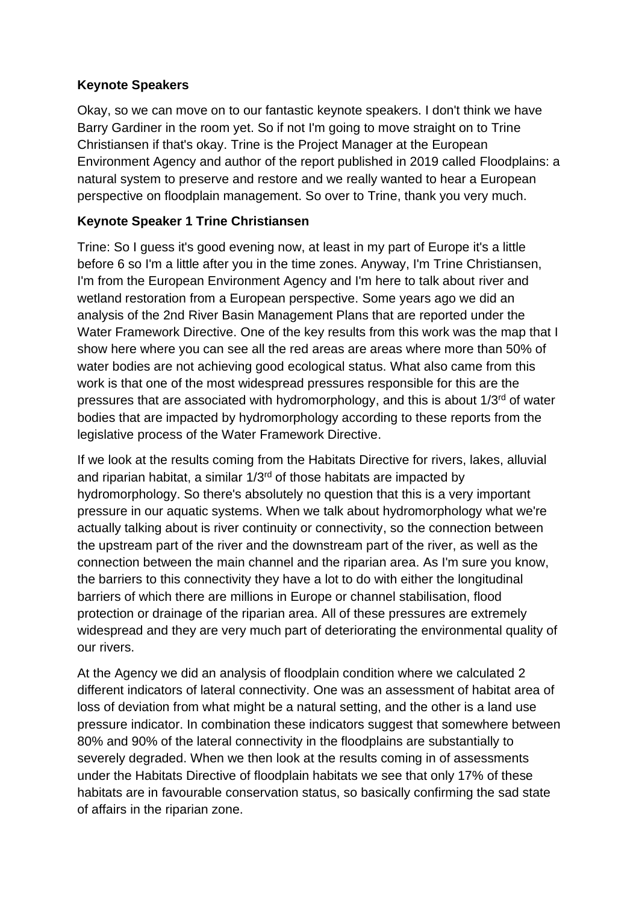## **Keynote Speakers**

Okay, so we can move on to our fantastic keynote speakers. I don't think we have Barry Gardiner in the room yet. So if not I'm going to move straight on to Trine Christiansen if that's okay. Trine is the Project Manager at the European Environment Agency and author of the report published in 2019 called Floodplains: a natural system to preserve and restore and we really wanted to hear a European perspective on floodplain management. So over to Trine, thank you very much.

# **Keynote Speaker 1 Trine Christiansen**

Trine: So I guess it's good evening now, at least in my part of Europe it's a little before 6 so I'm a little after you in the time zones. Anyway, I'm Trine Christiansen, I'm from the European Environment Agency and I'm here to talk about river and wetland restoration from a European perspective. Some years ago we did an analysis of the 2nd River Basin Management Plans that are reported under the Water Framework Directive. One of the key results from this work was the map that I show here where you can see all the red areas are areas where more than 50% of water bodies are not achieving good ecological status. What also came from this work is that one of the most widespread pressures responsible for this are the pressures that are associated with hydromorphology, and this is about  $1/3<sup>rd</sup>$  of water bodies that are impacted by hydromorphology according to these reports from the legislative process of the Water Framework Directive.

If we look at the results coming from the Habitats Directive for rivers, lakes, alluvial and riparian habitat, a similar  $1/3<sup>rd</sup>$  of those habitats are impacted by hydromorphology. So there's absolutely no question that this is a very important pressure in our aquatic systems. When we talk about hydromorphology what we're actually talking about is river continuity or connectivity, so the connection between the upstream part of the river and the downstream part of the river, as well as the connection between the main channel and the riparian area. As I'm sure you know, the barriers to this connectivity they have a lot to do with either the longitudinal barriers of which there are millions in Europe or channel stabilisation, flood protection or drainage of the riparian area. All of these pressures are extremely widespread and they are very much part of deteriorating the environmental quality of our rivers.

At the Agency we did an analysis of floodplain condition where we calculated 2 different indicators of lateral connectivity. One was an assessment of habitat area of loss of deviation from what might be a natural setting, and the other is a land use pressure indicator. In combination these indicators suggest that somewhere between 80% and 90% of the lateral connectivity in the floodplains are substantially to severely degraded. When we then look at the results coming in of assessments under the Habitats Directive of floodplain habitats we see that only 17% of these habitats are in favourable conservation status, so basically confirming the sad state of affairs in the riparian zone.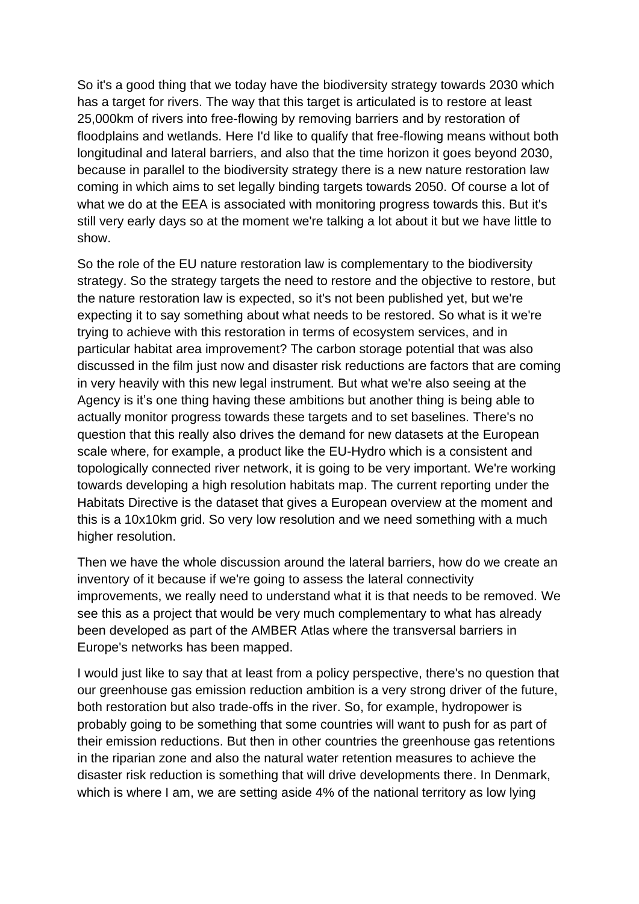So it's a good thing that we today have the biodiversity strategy towards 2030 which has a target for rivers. The way that this target is articulated is to restore at least 25,000km of rivers into free-flowing by removing barriers and by restoration of floodplains and wetlands. Here I'd like to qualify that free-flowing means without both longitudinal and lateral barriers, and also that the time horizon it goes beyond 2030, because in parallel to the biodiversity strategy there is a new nature restoration law coming in which aims to set legally binding targets towards 2050. Of course a lot of what we do at the EEA is associated with monitoring progress towards this. But it's still very early days so at the moment we're talking a lot about it but we have little to show.

So the role of the EU nature restoration law is complementary to the biodiversity strategy. So the strategy targets the need to restore and the objective to restore, but the nature restoration law is expected, so it's not been published yet, but we're expecting it to say something about what needs to be restored. So what is it we're trying to achieve with this restoration in terms of ecosystem services, and in particular habitat area improvement? The carbon storage potential that was also discussed in the film just now and disaster risk reductions are factors that are coming in very heavily with this new legal instrument. But what we're also seeing at the Agency is it's one thing having these ambitions but another thing is being able to actually monitor progress towards these targets and to set baselines. There's no question that this really also drives the demand for new datasets at the European scale where, for example, a product like the EU-Hydro which is a consistent and topologically connected river network, it is going to be very important. We're working towards developing a high resolution habitats map. The current reporting under the Habitats Directive is the dataset that gives a European overview at the moment and this is a 10x10km grid. So very low resolution and we need something with a much higher resolution.

Then we have the whole discussion around the lateral barriers, how do we create an inventory of it because if we're going to assess the lateral connectivity improvements, we really need to understand what it is that needs to be removed. We see this as a project that would be very much complementary to what has already been developed as part of the AMBER Atlas where the transversal barriers in Europe's networks has been mapped.

I would just like to say that at least from a policy perspective, there's no question that our greenhouse gas emission reduction ambition is a very strong driver of the future, both restoration but also trade-offs in the river. So, for example, hydropower is probably going to be something that some countries will want to push for as part of their emission reductions. But then in other countries the greenhouse gas retentions in the riparian zone and also the natural water retention measures to achieve the disaster risk reduction is something that will drive developments there. In Denmark, which is where I am, we are setting aside 4% of the national territory as low lying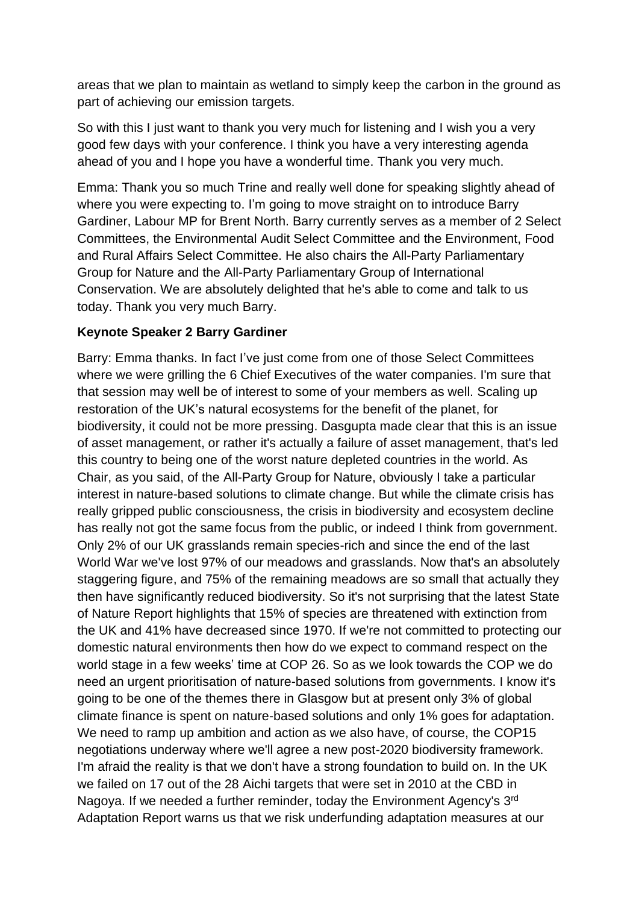areas that we plan to maintain as wetland to simply keep the carbon in the ground as part of achieving our emission targets.

So with this I just want to thank you very much for listening and I wish you a very good few days with your conference. I think you have a very interesting agenda ahead of you and I hope you have a wonderful time. Thank you very much.

Emma: Thank you so much Trine and really well done for speaking slightly ahead of where you were expecting to. I'm going to move straight on to introduce Barry Gardiner, Labour MP for Brent North. Barry currently serves as a member of 2 Select Committees, the Environmental Audit Select Committee and the Environment, Food and Rural Affairs Select Committee. He also chairs the All-Party Parliamentary Group for Nature and the All-Party Parliamentary Group of International Conservation. We are absolutely delighted that he's able to come and talk to us today. Thank you very much Barry.

# **Keynote Speaker 2 Barry Gardiner**

Barry: Emma thanks. In fact I've just come from one of those Select Committees where we were grilling the 6 Chief Executives of the water companies. I'm sure that that session may well be of interest to some of your members as well. Scaling up restoration of the UK's natural ecosystems for the benefit of the planet, for biodiversity, it could not be more pressing. Dasgupta made clear that this is an issue of asset management, or rather it's actually a failure of asset management, that's led this country to being one of the worst nature depleted countries in the world. As Chair, as you said, of the All-Party Group for Nature, obviously I take a particular interest in nature-based solutions to climate change. But while the climate crisis has really gripped public consciousness, the crisis in biodiversity and ecosystem decline has really not got the same focus from the public, or indeed I think from government. Only 2% of our UK grasslands remain species-rich and since the end of the last World War we've lost 97% of our meadows and grasslands. Now that's an absolutely staggering figure, and 75% of the remaining meadows are so small that actually they then have significantly reduced biodiversity. So it's not surprising that the latest State of Nature Report highlights that 15% of species are threatened with extinction from the UK and 41% have decreased since 1970. If we're not committed to protecting our domestic natural environments then how do we expect to command respect on the world stage in a few weeks' time at COP 26. So as we look towards the COP we do need an urgent prioritisation of nature-based solutions from governments. I know it's going to be one of the themes there in Glasgow but at present only 3% of global climate finance is spent on nature-based solutions and only 1% goes for adaptation. We need to ramp up ambition and action as we also have, of course, the COP15 negotiations underway where we'll agree a new post-2020 biodiversity framework. I'm afraid the reality is that we don't have a strong foundation to build on. In the UK we failed on 17 out of the 28 Aichi targets that were set in 2010 at the CBD in Nagoya. If we needed a further reminder, today the Environment Agency's 3<sup>rd</sup> Adaptation Report warns us that we risk underfunding adaptation measures at our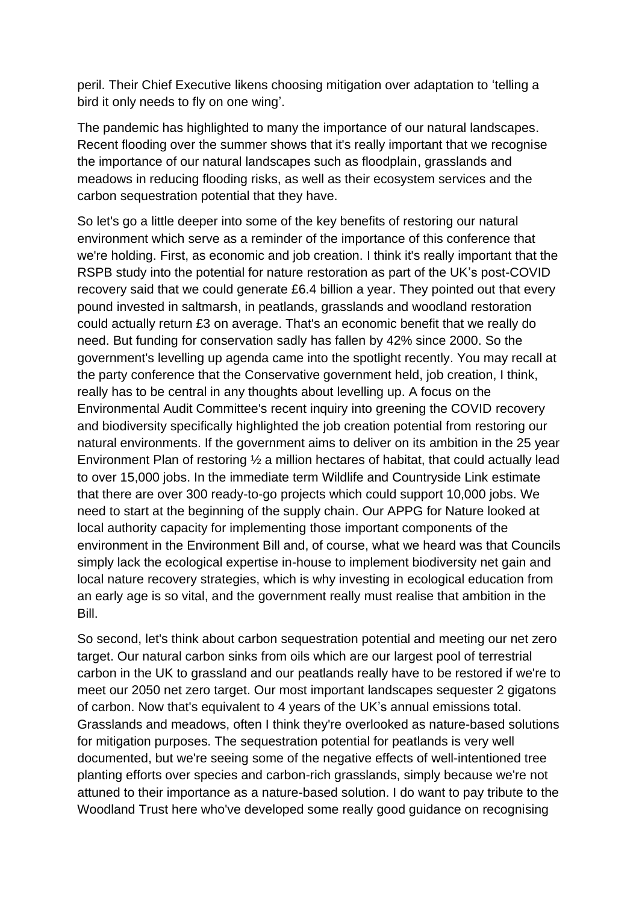peril. Their Chief Executive likens choosing mitigation over adaptation to 'telling a bird it only needs to fly on one wing'.

The pandemic has highlighted to many the importance of our natural landscapes. Recent flooding over the summer shows that it's really important that we recognise the importance of our natural landscapes such as floodplain, grasslands and meadows in reducing flooding risks, as well as their ecosystem services and the carbon sequestration potential that they have.

So let's go a little deeper into some of the key benefits of restoring our natural environment which serve as a reminder of the importance of this conference that we're holding. First, as economic and job creation. I think it's really important that the RSPB study into the potential for nature restoration as part of the UK's post-COVID recovery said that we could generate £6.4 billion a year. They pointed out that every pound invested in saltmarsh, in peatlands, grasslands and woodland restoration could actually return £3 on average. That's an economic benefit that we really do need. But funding for conservation sadly has fallen by 42% since 2000. So the government's levelling up agenda came into the spotlight recently. You may recall at the party conference that the Conservative government held, job creation, I think, really has to be central in any thoughts about levelling up. A focus on the Environmental Audit Committee's recent inquiry into greening the COVID recovery and biodiversity specifically highlighted the job creation potential from restoring our natural environments. If the government aims to deliver on its ambition in the 25 year Environment Plan of restoring ½ a million hectares of habitat, that could actually lead to over 15,000 jobs. In the immediate term Wildlife and Countryside Link estimate that there are over 300 ready-to-go projects which could support 10,000 jobs. We need to start at the beginning of the supply chain. Our APPG for Nature looked at local authority capacity for implementing those important components of the environment in the Environment Bill and, of course, what we heard was that Councils simply lack the ecological expertise in-house to implement biodiversity net gain and local nature recovery strategies, which is why investing in ecological education from an early age is so vital, and the government really must realise that ambition in the Bill.

So second, let's think about carbon sequestration potential and meeting our net zero target. Our natural carbon sinks from oils which are our largest pool of terrestrial carbon in the UK to grassland and our peatlands really have to be restored if we're to meet our 2050 net zero target. Our most important landscapes sequester 2 gigatons of carbon. Now that's equivalent to 4 years of the UK's annual emissions total. Grasslands and meadows, often I think they're overlooked as nature-based solutions for mitigation purposes. The sequestration potential for peatlands is very well documented, but we're seeing some of the negative effects of well-intentioned tree planting efforts over species and carbon-rich grasslands, simply because we're not attuned to their importance as a nature-based solution. I do want to pay tribute to the Woodland Trust here who've developed some really good guidance on recognising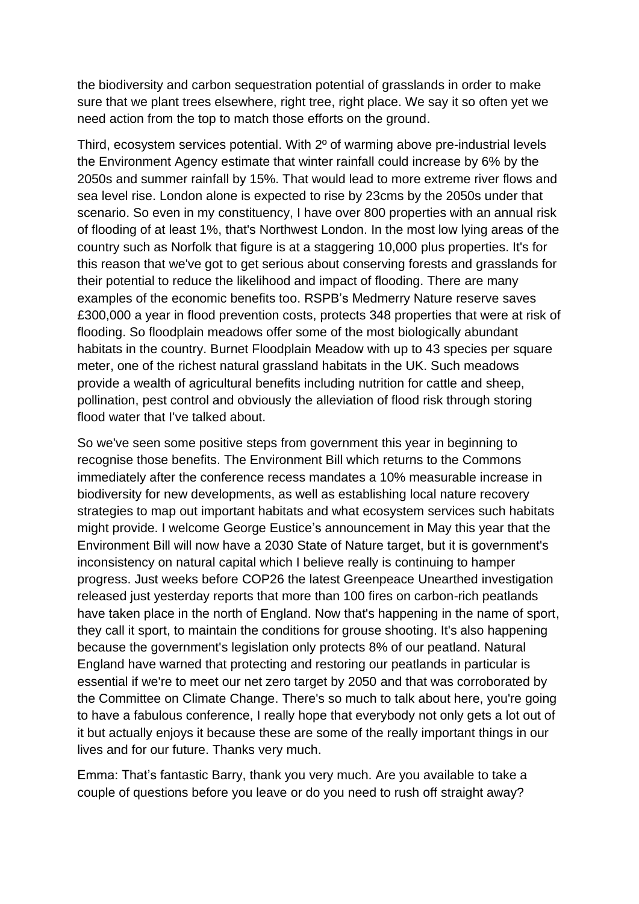the biodiversity and carbon sequestration potential of grasslands in order to make sure that we plant trees elsewhere, right tree, right place. We say it so often yet we need action from the top to match those efforts on the ground.

Third, ecosystem services potential. With 2º of warming above pre-industrial levels the Environment Agency estimate that winter rainfall could increase by 6% by the 2050s and summer rainfall by 15%. That would lead to more extreme river flows and sea level rise. London alone is expected to rise by 23cms by the 2050s under that scenario. So even in my constituency, I have over 800 properties with an annual risk of flooding of at least 1%, that's Northwest London. In the most low lying areas of the country such as Norfolk that figure is at a staggering 10,000 plus properties. It's for this reason that we've got to get serious about conserving forests and grasslands for their potential to reduce the likelihood and impact of flooding. There are many examples of the economic benefits too. RSPB's Medmerry Nature reserve saves £300,000 a year in flood prevention costs, protects 348 properties that were at risk of flooding. So floodplain meadows offer some of the most biologically abundant habitats in the country. Burnet Floodplain Meadow with up to 43 species per square meter, one of the richest natural grassland habitats in the UK. Such meadows provide a wealth of agricultural benefits including nutrition for cattle and sheep, pollination, pest control and obviously the alleviation of flood risk through storing flood water that I've talked about.

So we've seen some positive steps from government this year in beginning to recognise those benefits. The Environment Bill which returns to the Commons immediately after the conference recess mandates a 10% measurable increase in biodiversity for new developments, as well as establishing local nature recovery strategies to map out important habitats and what ecosystem services such habitats might provide. I welcome George Eustice's announcement in May this year that the Environment Bill will now have a 2030 State of Nature target, but it is government's inconsistency on natural capital which I believe really is continuing to hamper progress. Just weeks before COP26 the latest Greenpeace Unearthed investigation released just yesterday reports that more than 100 fires on carbon-rich peatlands have taken place in the north of England. Now that's happening in the name of sport, they call it sport, to maintain the conditions for grouse shooting. It's also happening because the government's legislation only protects 8% of our peatland. Natural England have warned that protecting and restoring our peatlands in particular is essential if we're to meet our net zero target by 2050 and that was corroborated by the Committee on Climate Change. There's so much to talk about here, you're going to have a fabulous conference, I really hope that everybody not only gets a lot out of it but actually enjoys it because these are some of the really important things in our lives and for our future. Thanks very much.

Emma: That's fantastic Barry, thank you very much. Are you available to take a couple of questions before you leave or do you need to rush off straight away?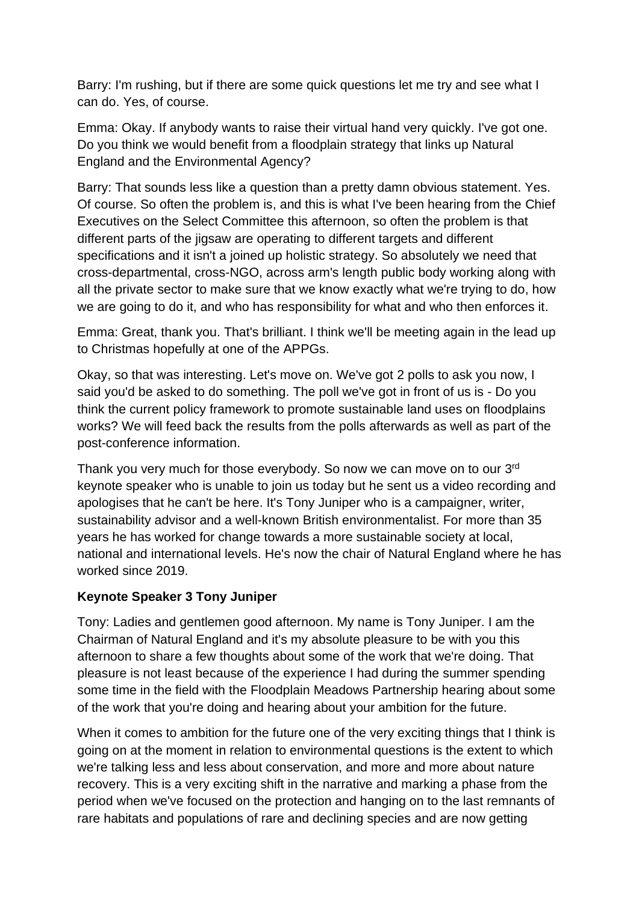Barry: I'm rushing, but if there are some quick questions let me try and see what I can do. Yes, of course.

Emma: Okay. If anybody wants to raise their virtual hand very quickly. I've got one. Do you think we would benefit from a floodplain strategy that links up Natural England and the Environmental Agency?

Barry: That sounds less like a question than a pretty damn obvious statement. Yes. Of course. So often the problem is, and this is what I've been hearing from the Chief Executives on the Select Committee this afternoon, so often the problem is that different parts of the jigsaw are operating to different targets and different specifications and it isn't a joined up holistic strategy. So absolutely we need that cross-departmental, cross-NGO, across arm's length public body working along with all the private sector to make sure that we know exactly what we're trying to do, how we are going to do it, and who has responsibility for what and who then enforces it.

Emma: Great, thank you. That's brilliant. I think we'll be meeting again in the lead up to Christmas hopefully at one of the APPGs.

Okay, so that was interesting. Let's move on. We've got 2 polls to ask you now, I said you'd be asked to do something. The poll we've got in front of us is - Do you think the current policy framework to promote sustainable land uses on floodplains works? We will feed back the results from the polls afterwards as well as part of the post-conference information.

Thank you very much for those everybody. So now we can move on to our 3<sup>rd</sup> keynote speaker who is unable to join us today but he sent us a video recording and apologises that he can't be here. It's Tony Juniper who is a campaigner, writer, sustainability advisor and a well-known British environmentalist. For more than 35 years he has worked for change towards a more sustainable society at local, national and international levels. He's now the chair of Natural England where he has worked since 2019.

## **Keynote Speaker 3 Tony Juniper**

Tony: Ladies and gentlemen good afternoon. My name is Tony Juniper. I am the Chairman of Natural England and it's my absolute pleasure to be with you this afternoon to share a few thoughts about some of the work that we're doing. That pleasure is not least because of the experience I had during the summer spending some time in the field with the Floodplain Meadows Partnership hearing about some of the work that you're doing and hearing about your ambition for the future.

When it comes to ambition for the future one of the very exciting things that I think is going on at the moment in relation to environmental questions is the extent to which we're talking less and less about conservation, and more and more about nature recovery. This is a very exciting shift in the narrative and marking a phase from the period when we've focused on the protection and hanging on to the last remnants of rare habitats and populations of rare and declining species and are now getting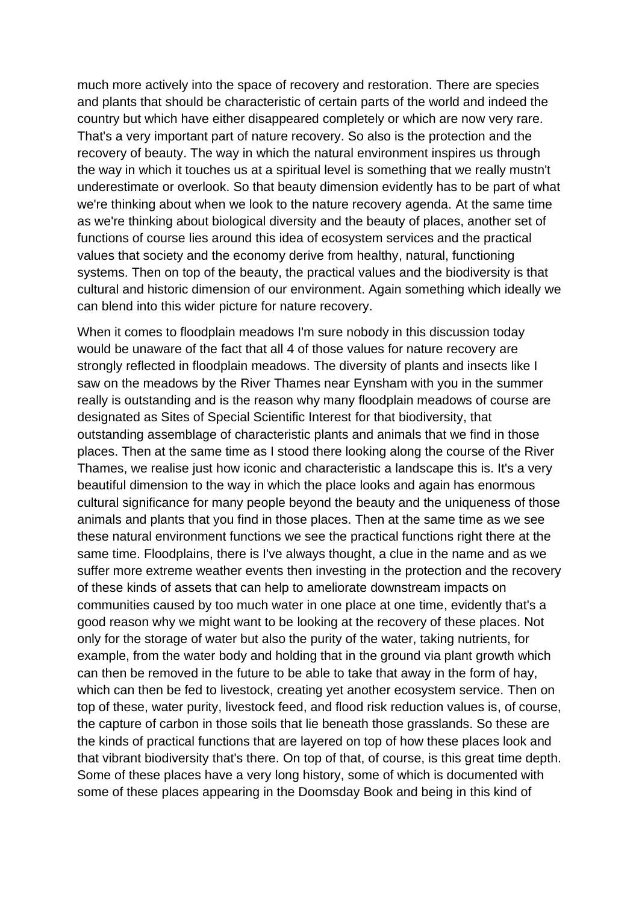much more actively into the space of recovery and restoration. There are species and plants that should be characteristic of certain parts of the world and indeed the country but which have either disappeared completely or which are now very rare. That's a very important part of nature recovery. So also is the protection and the recovery of beauty. The way in which the natural environment inspires us through the way in which it touches us at a spiritual level is something that we really mustn't underestimate or overlook. So that beauty dimension evidently has to be part of what we're thinking about when we look to the nature recovery agenda. At the same time as we're thinking about biological diversity and the beauty of places, another set of functions of course lies around this idea of ecosystem services and the practical values that society and the economy derive from healthy, natural, functioning systems. Then on top of the beauty, the practical values and the biodiversity is that cultural and historic dimension of our environment. Again something which ideally we can blend into this wider picture for nature recovery.

When it comes to floodplain meadows I'm sure nobody in this discussion today would be unaware of the fact that all 4 of those values for nature recovery are strongly reflected in floodplain meadows. The diversity of plants and insects like I saw on the meadows by the River Thames near Eynsham with you in the summer really is outstanding and is the reason why many floodplain meadows of course are designated as Sites of Special Scientific Interest for that biodiversity, that outstanding assemblage of characteristic plants and animals that we find in those places. Then at the same time as I stood there looking along the course of the River Thames, we realise just how iconic and characteristic a landscape this is. It's a very beautiful dimension to the way in which the place looks and again has enormous cultural significance for many people beyond the beauty and the uniqueness of those animals and plants that you find in those places. Then at the same time as we see these natural environment functions we see the practical functions right there at the same time. Floodplains, there is I've always thought, a clue in the name and as we suffer more extreme weather events then investing in the protection and the recovery of these kinds of assets that can help to ameliorate downstream impacts on communities caused by too much water in one place at one time, evidently that's a good reason why we might want to be looking at the recovery of these places. Not only for the storage of water but also the purity of the water, taking nutrients, for example, from the water body and holding that in the ground via plant growth which can then be removed in the future to be able to take that away in the form of hay, which can then be fed to livestock, creating yet another ecosystem service. Then on top of these, water purity, livestock feed, and flood risk reduction values is, of course, the capture of carbon in those soils that lie beneath those grasslands. So these are the kinds of practical functions that are layered on top of how these places look and that vibrant biodiversity that's there. On top of that, of course, is this great time depth. Some of these places have a very long history, some of which is documented with some of these places appearing in the Doomsday Book and being in this kind of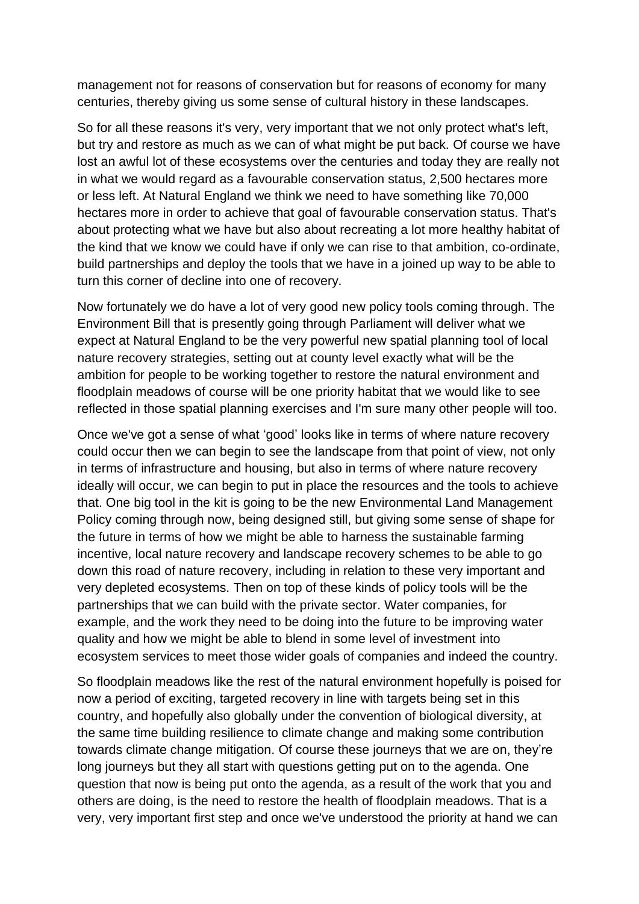management not for reasons of conservation but for reasons of economy for many centuries, thereby giving us some sense of cultural history in these landscapes.

So for all these reasons it's very, very important that we not only protect what's left, but try and restore as much as we can of what might be put back. Of course we have lost an awful lot of these ecosystems over the centuries and today they are really not in what we would regard as a favourable conservation status, 2,500 hectares more or less left. At Natural England we think we need to have something like 70,000 hectares more in order to achieve that goal of favourable conservation status. That's about protecting what we have but also about recreating a lot more healthy habitat of the kind that we know we could have if only we can rise to that ambition, co-ordinate, build partnerships and deploy the tools that we have in a joined up way to be able to turn this corner of decline into one of recovery.

Now fortunately we do have a lot of very good new policy tools coming through. The Environment Bill that is presently going through Parliament will deliver what we expect at Natural England to be the very powerful new spatial planning tool of local nature recovery strategies, setting out at county level exactly what will be the ambition for people to be working together to restore the natural environment and floodplain meadows of course will be one priority habitat that we would like to see reflected in those spatial planning exercises and I'm sure many other people will too.

Once we've got a sense of what 'good' looks like in terms of where nature recovery could occur then we can begin to see the landscape from that point of view, not only in terms of infrastructure and housing, but also in terms of where nature recovery ideally will occur, we can begin to put in place the resources and the tools to achieve that. One big tool in the kit is going to be the new Environmental Land Management Policy coming through now, being designed still, but giving some sense of shape for the future in terms of how we might be able to harness the sustainable farming incentive, local nature recovery and landscape recovery schemes to be able to go down this road of nature recovery, including in relation to these very important and very depleted ecosystems. Then on top of these kinds of policy tools will be the partnerships that we can build with the private sector. Water companies, for example, and the work they need to be doing into the future to be improving water quality and how we might be able to blend in some level of investment into ecosystem services to meet those wider goals of companies and indeed the country.

So floodplain meadows like the rest of the natural environment hopefully is poised for now a period of exciting, targeted recovery in line with targets being set in this country, and hopefully also globally under the convention of biological diversity, at the same time building resilience to climate change and making some contribution towards climate change mitigation. Of course these journeys that we are on, they're long journeys but they all start with questions getting put on to the agenda. One question that now is being put onto the agenda, as a result of the work that you and others are doing, is the need to restore the health of floodplain meadows. That is a very, very important first step and once we've understood the priority at hand we can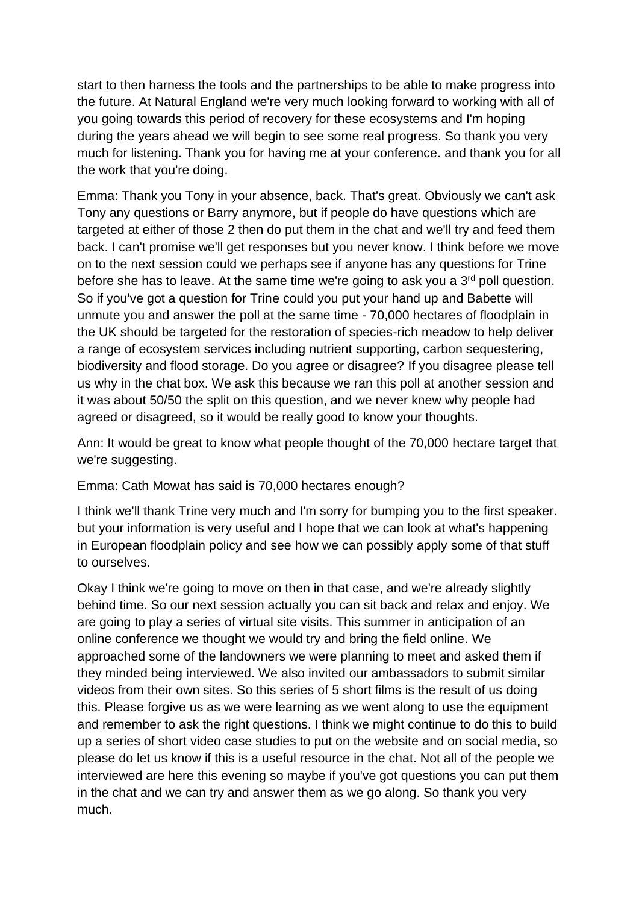start to then harness the tools and the partnerships to be able to make progress into the future. At Natural England we're very much looking forward to working with all of you going towards this period of recovery for these ecosystems and I'm hoping during the years ahead we will begin to see some real progress. So thank you very much for listening. Thank you for having me at your conference. and thank you for all the work that you're doing.

Emma: Thank you Tony in your absence, back. That's great. Obviously we can't ask Tony any questions or Barry anymore, but if people do have questions which are targeted at either of those 2 then do put them in the chat and we'll try and feed them back. I can't promise we'll get responses but you never know. I think before we move on to the next session could we perhaps see if anyone has any questions for Trine before she has to leave. At the same time we're going to ask you a 3<sup>rd</sup> poll question. So if you've got a question for Trine could you put your hand up and Babette will unmute you and answer the poll at the same time - 70,000 hectares of floodplain in the UK should be targeted for the restoration of species-rich meadow to help deliver a range of ecosystem services including nutrient supporting, carbon sequestering, biodiversity and flood storage. Do you agree or disagree? If you disagree please tell us why in the chat box. We ask this because we ran this poll at another session and it was about 50/50 the split on this question, and we never knew why people had agreed or disagreed, so it would be really good to know your thoughts.

Ann: It would be great to know what people thought of the 70,000 hectare target that we're suggesting.

Emma: Cath Mowat has said is 70,000 hectares enough?

I think we'll thank Trine very much and I'm sorry for bumping you to the first speaker. but your information is very useful and I hope that we can look at what's happening in European floodplain policy and see how we can possibly apply some of that stuff to ourselves.

Okay I think we're going to move on then in that case, and we're already slightly behind time. So our next session actually you can sit back and relax and enjoy. We are going to play a series of virtual site visits. This summer in anticipation of an online conference we thought we would try and bring the field online. We approached some of the landowners we were planning to meet and asked them if they minded being interviewed. We also invited our ambassadors to submit similar videos from their own sites. So this series of 5 short films is the result of us doing this. Please forgive us as we were learning as we went along to use the equipment and remember to ask the right questions. I think we might continue to do this to build up a series of short video case studies to put on the website and on social media, so please do let us know if this is a useful resource in the chat. Not all of the people we interviewed are here this evening so maybe if you've got questions you can put them in the chat and we can try and answer them as we go along. So thank you very much.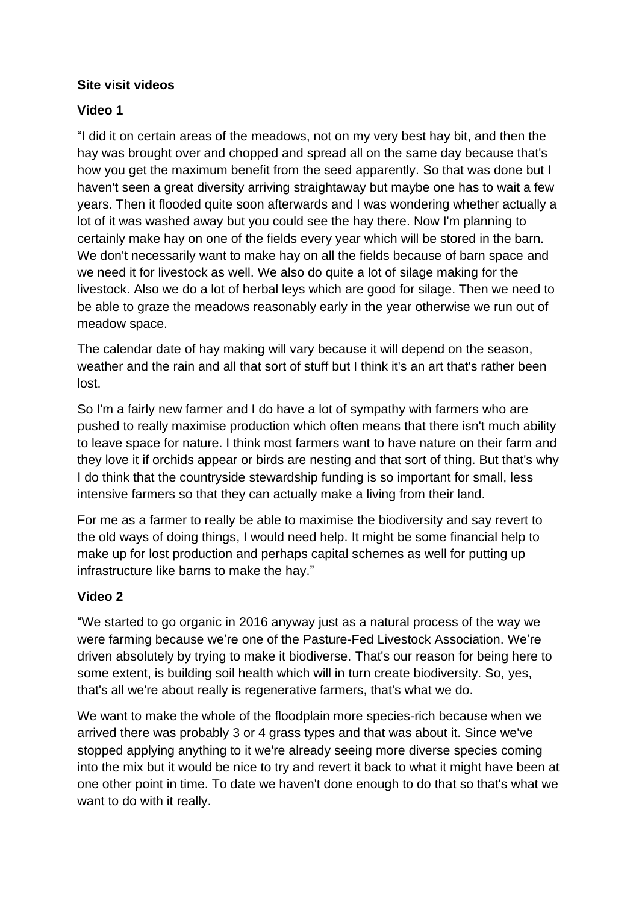# **Site visit videos**

# **Video 1**

"I did it on certain areas of the meadows, not on my very best hay bit, and then the hay was brought over and chopped and spread all on the same day because that's how you get the maximum benefit from the seed apparently. So that was done but I haven't seen a great diversity arriving straightaway but maybe one has to wait a few years. Then it flooded quite soon afterwards and I was wondering whether actually a lot of it was washed away but you could see the hay there. Now I'm planning to certainly make hay on one of the fields every year which will be stored in the barn. We don't necessarily want to make hay on all the fields because of barn space and we need it for livestock as well. We also do quite a lot of silage making for the livestock. Also we do a lot of herbal leys which are good for silage. Then we need to be able to graze the meadows reasonably early in the year otherwise we run out of meadow space.

The calendar date of hay making will vary because it will depend on the season, weather and the rain and all that sort of stuff but I think it's an art that's rather been lost.

So I'm a fairly new farmer and I do have a lot of sympathy with farmers who are pushed to really maximise production which often means that there isn't much ability to leave space for nature. I think most farmers want to have nature on their farm and they love it if orchids appear or birds are nesting and that sort of thing. But that's why I do think that the countryside stewardship funding is so important for small, less intensive farmers so that they can actually make a living from their land.

For me as a farmer to really be able to maximise the biodiversity and say revert to the old ways of doing things, I would need help. It might be some financial help to make up for lost production and perhaps capital schemes as well for putting up infrastructure like barns to make the hay."

## **Video 2**

"We started to go organic in 2016 anyway just as a natural process of the way we were farming because we're one of the Pasture-Fed Livestock Association. We're driven absolutely by trying to make it biodiverse. That's our reason for being here to some extent, is building soil health which will in turn create biodiversity. So, yes, that's all we're about really is regenerative farmers, that's what we do.

We want to make the whole of the floodplain more species-rich because when we arrived there was probably 3 or 4 grass types and that was about it. Since we've stopped applying anything to it we're already seeing more diverse species coming into the mix but it would be nice to try and revert it back to what it might have been at one other point in time. To date we haven't done enough to do that so that's what we want to do with it really.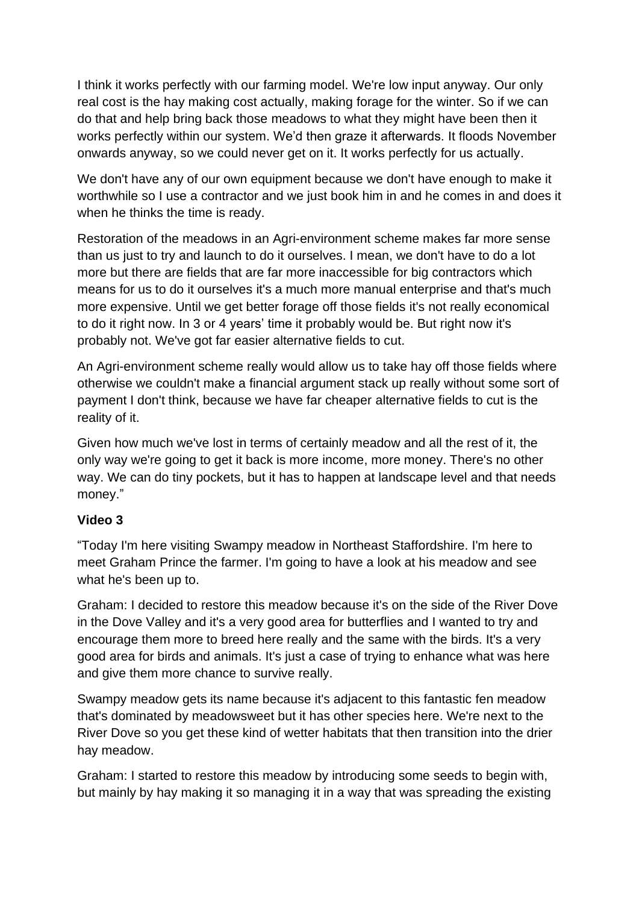I think it works perfectly with our farming model. We're low input anyway. Our only real cost is the hay making cost actually, making forage for the winter. So if we can do that and help bring back those meadows to what they might have been then it works perfectly within our system. We'd then graze it afterwards. It floods November onwards anyway, so we could never get on it. It works perfectly for us actually.

We don't have any of our own equipment because we don't have enough to make it worthwhile so I use a contractor and we just book him in and he comes in and does it when he thinks the time is ready.

Restoration of the meadows in an Agri-environment scheme makes far more sense than us just to try and launch to do it ourselves. I mean, we don't have to do a lot more but there are fields that are far more inaccessible for big contractors which means for us to do it ourselves it's a much more manual enterprise and that's much more expensive. Until we get better forage off those fields it's not really economical to do it right now. In 3 or 4 years' time it probably would be. But right now it's probably not. We've got far easier alternative fields to cut.

An Agri-environment scheme really would allow us to take hay off those fields where otherwise we couldn't make a financial argument stack up really without some sort of payment I don't think, because we have far cheaper alternative fields to cut is the reality of it.

Given how much we've lost in terms of certainly meadow and all the rest of it, the only way we're going to get it back is more income, more money. There's no other way. We can do tiny pockets, but it has to happen at landscape level and that needs money."

## **Video 3**

"Today I'm here visiting Swampy meadow in Northeast Staffordshire. I'm here to meet Graham Prince the farmer. I'm going to have a look at his meadow and see what he's been up to.

Graham: I decided to restore this meadow because it's on the side of the River Dove in the Dove Valley and it's a very good area for butterflies and I wanted to try and encourage them more to breed here really and the same with the birds. It's a very good area for birds and animals. It's just a case of trying to enhance what was here and give them more chance to survive really.

Swampy meadow gets its name because it's adjacent to this fantastic fen meadow that's dominated by meadowsweet but it has other species here. We're next to the River Dove so you get these kind of wetter habitats that then transition into the drier hay meadow.

Graham: I started to restore this meadow by introducing some seeds to begin with, but mainly by hay making it so managing it in a way that was spreading the existing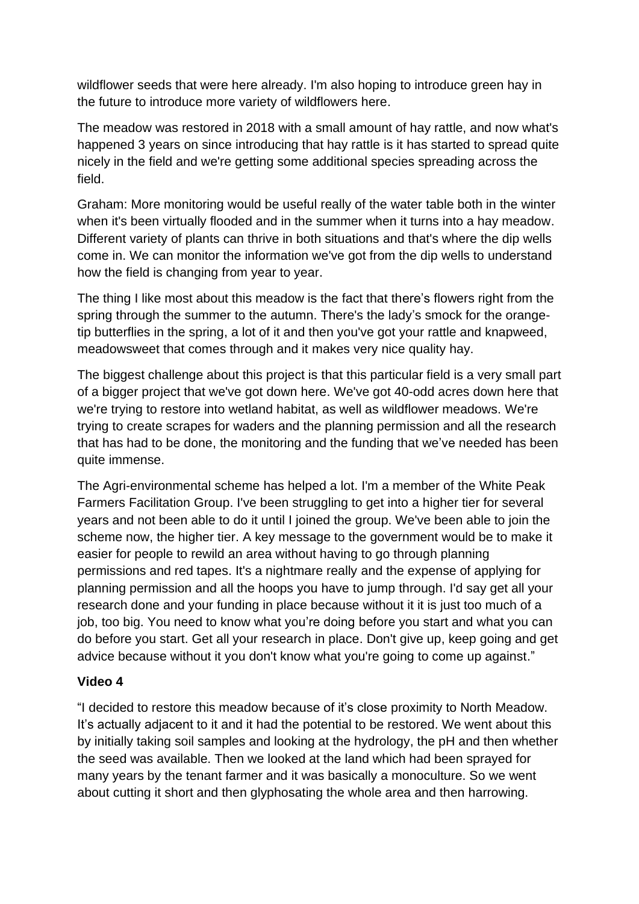wildflower seeds that were here already. I'm also hoping to introduce green hay in the future to introduce more variety of wildflowers here.

The meadow was restored in 2018 with a small amount of hay rattle, and now what's happened 3 years on since introducing that hay rattle is it has started to spread quite nicely in the field and we're getting some additional species spreading across the field.

Graham: More monitoring would be useful really of the water table both in the winter when it's been virtually flooded and in the summer when it turns into a hay meadow. Different variety of plants can thrive in both situations and that's where the dip wells come in. We can monitor the information we've got from the dip wells to understand how the field is changing from year to year.

The thing I like most about this meadow is the fact that there's flowers right from the spring through the summer to the autumn. There's the lady's smock for the orangetip butterflies in the spring, a lot of it and then you've got your rattle and knapweed, meadowsweet that comes through and it makes very nice quality hay.

The biggest challenge about this project is that this particular field is a very small part of a bigger project that we've got down here. We've got 40-odd acres down here that we're trying to restore into wetland habitat, as well as wildflower meadows. We're trying to create scrapes for waders and the planning permission and all the research that has had to be done, the monitoring and the funding that we've needed has been quite immense.

The Agri-environmental scheme has helped a lot. I'm a member of the White Peak Farmers Facilitation Group. I've been struggling to get into a higher tier for several years and not been able to do it until I joined the group. We've been able to join the scheme now, the higher tier. A key message to the government would be to make it easier for people to rewild an area without having to go through planning permissions and red tapes. It's a nightmare really and the expense of applying for planning permission and all the hoops you have to jump through. I'd say get all your research done and your funding in place because without it it is just too much of a job, too big. You need to know what you're doing before you start and what you can do before you start. Get all your research in place. Don't give up, keep going and get advice because without it you don't know what you're going to come up against."

## **Video 4**

"I decided to restore this meadow because of it's close proximity to North Meadow. It's actually adjacent to it and it had the potential to be restored. We went about this by initially taking soil samples and looking at the hydrology, the pH and then whether the seed was available. Then we looked at the land which had been sprayed for many years by the tenant farmer and it was basically a monoculture. So we went about cutting it short and then glyphosating the whole area and then harrowing.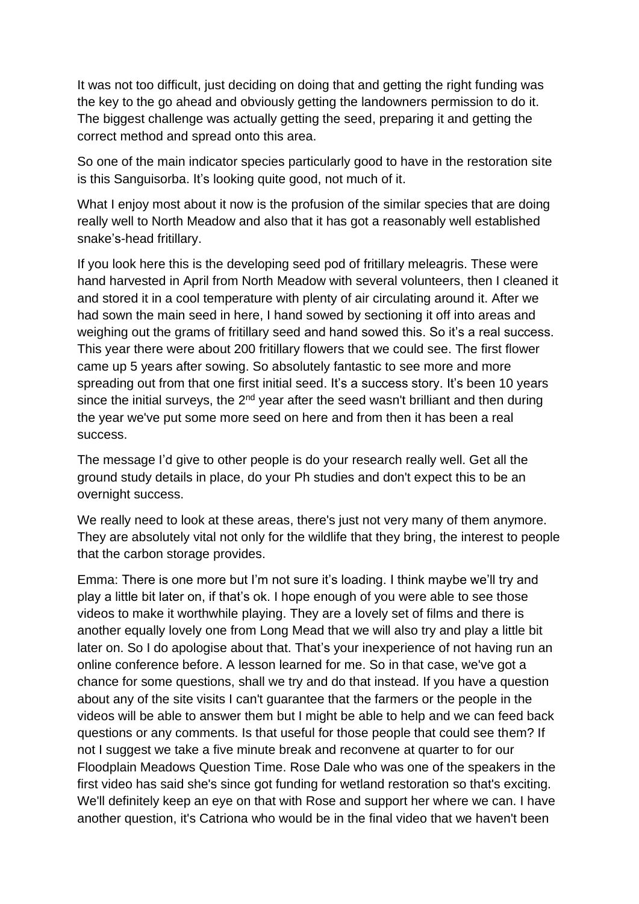It was not too difficult, just deciding on doing that and getting the right funding was the key to the go ahead and obviously getting the landowners permission to do it. The biggest challenge was actually getting the seed, preparing it and getting the correct method and spread onto this area.

So one of the main indicator species particularly good to have in the restoration site is this Sanguisorba. It's looking quite good, not much of it.

What I enjoy most about it now is the profusion of the similar species that are doing really well to North Meadow and also that it has got a reasonably well established snake's-head fritillary.

If you look here this is the developing seed pod of fritillary meleagris. These were hand harvested in April from North Meadow with several volunteers, then I cleaned it and stored it in a cool temperature with plenty of air circulating around it. After we had sown the main seed in here, I hand sowed by sectioning it off into areas and weighing out the grams of fritillary seed and hand sowed this. So it's a real success. This year there were about 200 fritillary flowers that we could see. The first flower came up 5 years after sowing. So absolutely fantastic to see more and more spreading out from that one first initial seed. It's a success story. It's been 10 years since the initial surveys, the 2<sup>nd</sup> year after the seed wasn't brilliant and then during the year we've put some more seed on here and from then it has been a real success.

The message I'd give to other people is do your research really well. Get all the ground study details in place, do your Ph studies and don't expect this to be an overnight success.

We really need to look at these areas, there's just not very many of them anymore. They are absolutely vital not only for the wildlife that they bring, the interest to people that the carbon storage provides.

Emma: There is one more but I'm not sure it's loading. I think maybe we'll try and play a little bit later on, if that's ok. I hope enough of you were able to see those videos to make it worthwhile playing. They are a lovely set of films and there is another equally lovely one from Long Mead that we will also try and play a little bit later on. So I do apologise about that. That's your inexperience of not having run an online conference before. A lesson learned for me. So in that case, we've got a chance for some questions, shall we try and do that instead. If you have a question about any of the site visits I can't guarantee that the farmers or the people in the videos will be able to answer them but I might be able to help and we can feed back questions or any comments. Is that useful for those people that could see them? If not I suggest we take a five minute break and reconvene at quarter to for our Floodplain Meadows Question Time. Rose Dale who was one of the speakers in the first video has said she's since got funding for wetland restoration so that's exciting. We'll definitely keep an eye on that with Rose and support her where we can. I have another question, it's Catriona who would be in the final video that we haven't been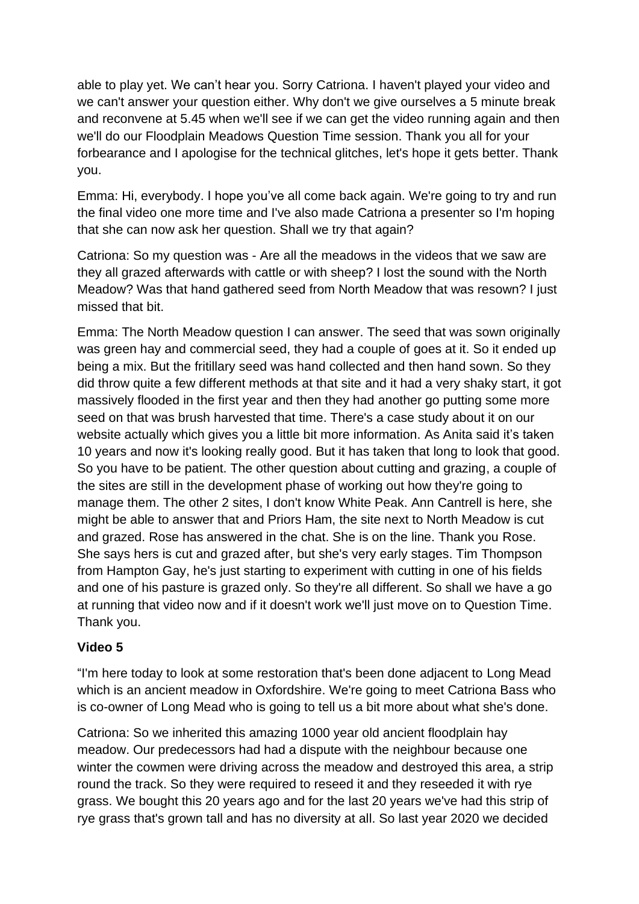able to play yet. We can't hear you. Sorry Catriona. I haven't played your video and we can't answer your question either. Why don't we give ourselves a 5 minute break and reconvene at 5.45 when we'll see if we can get the video running again and then we'll do our Floodplain Meadows Question Time session. Thank you all for your forbearance and I apologise for the technical glitches, let's hope it gets better. Thank you.

Emma: Hi, everybody. I hope you've all come back again. We're going to try and run the final video one more time and I've also made Catriona a presenter so I'm hoping that she can now ask her question. Shall we try that again?

Catriona: So my question was - Are all the meadows in the videos that we saw are they all grazed afterwards with cattle or with sheep? I lost the sound with the North Meadow? Was that hand gathered seed from North Meadow that was resown? I just missed that bit.

Emma: The North Meadow question I can answer. The seed that was sown originally was green hay and commercial seed, they had a couple of goes at it. So it ended up being a mix. But the fritillary seed was hand collected and then hand sown. So they did throw quite a few different methods at that site and it had a very shaky start, it got massively flooded in the first year and then they had another go putting some more seed on that was brush harvested that time. There's a case study about it on our website actually which gives you a little bit more information. As Anita said it's taken 10 years and now it's looking really good. But it has taken that long to look that good. So you have to be patient. The other question about cutting and grazing, a couple of the sites are still in the development phase of working out how they're going to manage them. The other 2 sites, I don't know White Peak. Ann Cantrell is here, she might be able to answer that and Priors Ham, the site next to North Meadow is cut and grazed. Rose has answered in the chat. She is on the line. Thank you Rose. She says hers is cut and grazed after, but she's very early stages. Tim Thompson from Hampton Gay, he's just starting to experiment with cutting in one of his fields and one of his pasture is grazed only. So they're all different. So shall we have a go at running that video now and if it doesn't work we'll just move on to Question Time. Thank you.

## **Video 5**

"I'm here today to look at some restoration that's been done adjacent to Long Mead which is an ancient meadow in Oxfordshire. We're going to meet Catriona Bass who is co-owner of Long Mead who is going to tell us a bit more about what she's done.

Catriona: So we inherited this amazing 1000 year old ancient floodplain hay meadow. Our predecessors had had a dispute with the neighbour because one winter the cowmen were driving across the meadow and destroyed this area, a strip round the track. So they were required to reseed it and they reseeded it with rye grass. We bought this 20 years ago and for the last 20 years we've had this strip of rye grass that's grown tall and has no diversity at all. So last year 2020 we decided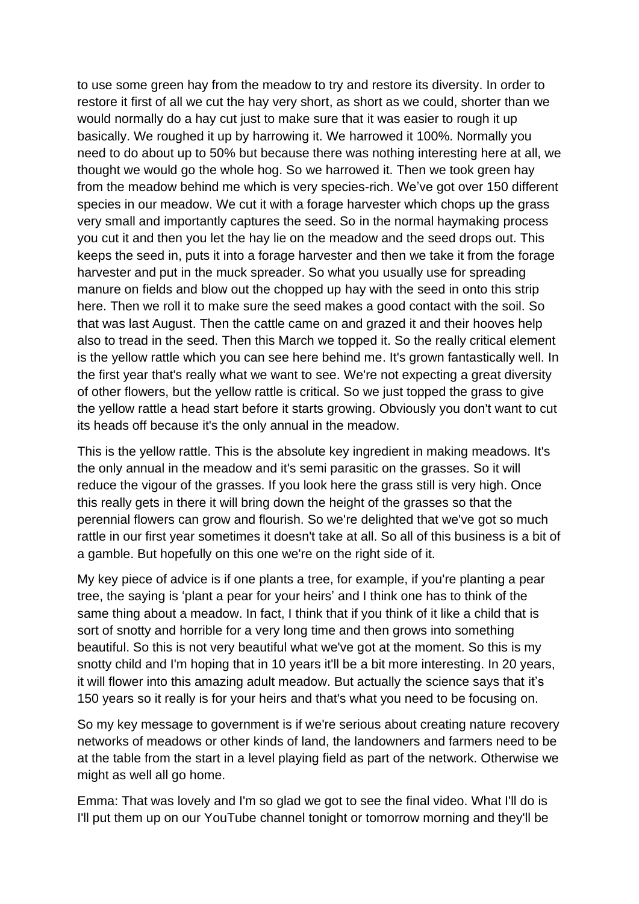to use some green hay from the meadow to try and restore its diversity. In order to restore it first of all we cut the hay very short, as short as we could, shorter than we would normally do a hay cut just to make sure that it was easier to rough it up basically. We roughed it up by harrowing it. We harrowed it 100%. Normally you need to do about up to 50% but because there was nothing interesting here at all, we thought we would go the whole hog. So we harrowed it. Then we took green hay from the meadow behind me which is very species-rich. We've got over 150 different species in our meadow. We cut it with a forage harvester which chops up the grass very small and importantly captures the seed. So in the normal haymaking process you cut it and then you let the hay lie on the meadow and the seed drops out. This keeps the seed in, puts it into a forage harvester and then we take it from the forage harvester and put in the muck spreader. So what you usually use for spreading manure on fields and blow out the chopped up hay with the seed in onto this strip here. Then we roll it to make sure the seed makes a good contact with the soil. So that was last August. Then the cattle came on and grazed it and their hooves help also to tread in the seed. Then this March we topped it. So the really critical element is the yellow rattle which you can see here behind me. It's grown fantastically well. In the first year that's really what we want to see. We're not expecting a great diversity of other flowers, but the yellow rattle is critical. So we just topped the grass to give the yellow rattle a head start before it starts growing. Obviously you don't want to cut its heads off because it's the only annual in the meadow.

This is the yellow rattle. This is the absolute key ingredient in making meadows. It's the only annual in the meadow and it's semi parasitic on the grasses. So it will reduce the vigour of the grasses. If you look here the grass still is very high. Once this really gets in there it will bring down the height of the grasses so that the perennial flowers can grow and flourish. So we're delighted that we've got so much rattle in our first year sometimes it doesn't take at all. So all of this business is a bit of a gamble. But hopefully on this one we're on the right side of it.

My key piece of advice is if one plants a tree, for example, if you're planting a pear tree, the saying is 'plant a pear for your heirs' and I think one has to think of the same thing about a meadow. In fact, I think that if you think of it like a child that is sort of snotty and horrible for a very long time and then grows into something beautiful. So this is not very beautiful what we've got at the moment. So this is my snotty child and I'm hoping that in 10 years it'll be a bit more interesting. In 20 years, it will flower into this amazing adult meadow. But actually the science says that it's 150 years so it really is for your heirs and that's what you need to be focusing on.

So my key message to government is if we're serious about creating nature recovery networks of meadows or other kinds of land, the landowners and farmers need to be at the table from the start in a level playing field as part of the network. Otherwise we might as well all go home.

Emma: That was lovely and I'm so glad we got to see the final video. What I'll do is I'll put them up on our YouTube channel tonight or tomorrow morning and they'll be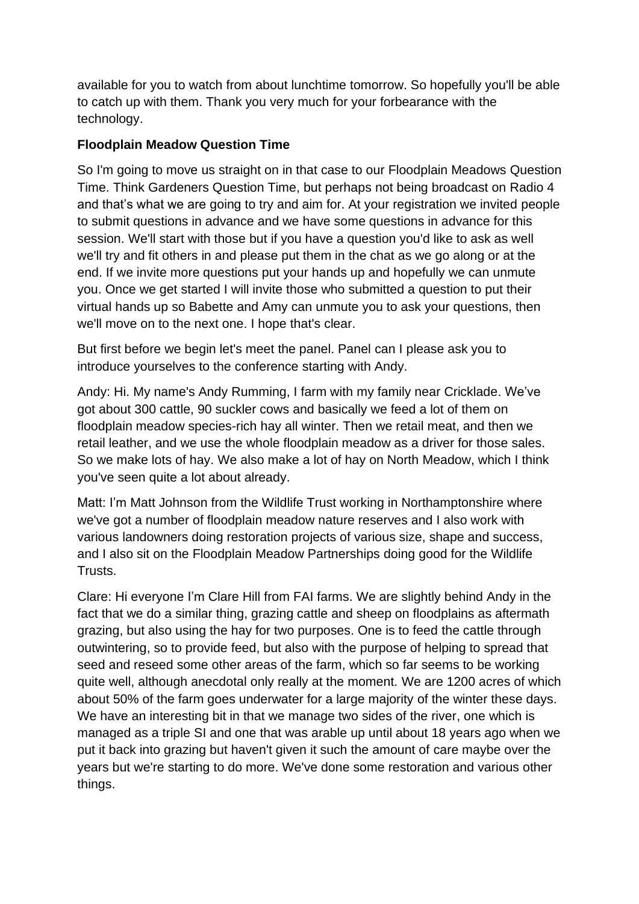available for you to watch from about lunchtime tomorrow. So hopefully you'll be able to catch up with them. Thank you very much for your forbearance with the technology.

# **Floodplain Meadow Question Time**

So I'm going to move us straight on in that case to our Floodplain Meadows Question Time. Think Gardeners Question Time, but perhaps not being broadcast on Radio 4 and that's what we are going to try and aim for. At your registration we invited people to submit questions in advance and we have some questions in advance for this session. We'll start with those but if you have a question you'd like to ask as well we'll try and fit others in and please put them in the chat as we go along or at the end. If we invite more questions put your hands up and hopefully we can unmute you. Once we get started I will invite those who submitted a question to put their virtual hands up so Babette and Amy can unmute you to ask your questions, then we'll move on to the next one. I hope that's clear.

But first before we begin let's meet the panel. Panel can I please ask you to introduce yourselves to the conference starting with Andy.

Andy: Hi. My name's Andy Rumming, I farm with my family near Cricklade. We've got about 300 cattle, 90 suckler cows and basically we feed a lot of them on floodplain meadow species-rich hay all winter. Then we retail meat, and then we retail leather, and we use the whole floodplain meadow as a driver for those sales. So we make lots of hay. We also make a lot of hay on North Meadow, which I think you've seen quite a lot about already.

Matt: I'm Matt Johnson from the Wildlife Trust working in Northamptonshire where we've got a number of floodplain meadow nature reserves and I also work with various landowners doing restoration projects of various size, shape and success, and I also sit on the Floodplain Meadow Partnerships doing good for the Wildlife Trusts.

Clare: Hi everyone I'm Clare Hill from FAI farms. We are slightly behind Andy in the fact that we do a similar thing, grazing cattle and sheep on floodplains as aftermath grazing, but also using the hay for two purposes. One is to feed the cattle through outwintering, so to provide feed, but also with the purpose of helping to spread that seed and reseed some other areas of the farm, which so far seems to be working quite well, although anecdotal only really at the moment. We are 1200 acres of which about 50% of the farm goes underwater for a large majority of the winter these days. We have an interesting bit in that we manage two sides of the river, one which is managed as a triple SI and one that was arable up until about 18 years ago when we put it back into grazing but haven't given it such the amount of care maybe over the years but we're starting to do more. We've done some restoration and various other things.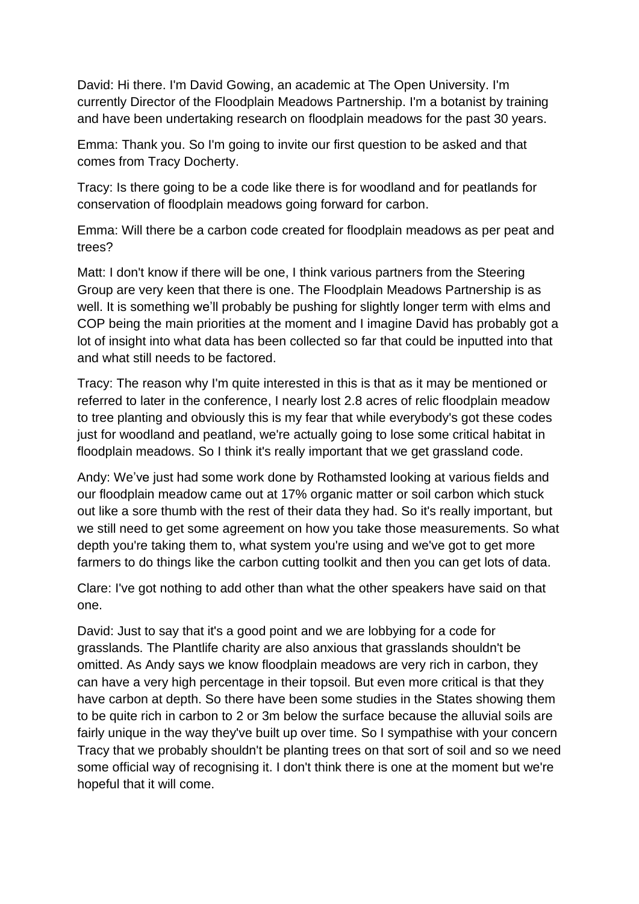David: Hi there. I'm David Gowing, an academic at The Open University. I'm currently Director of the Floodplain Meadows Partnership. I'm a botanist by training and have been undertaking research on floodplain meadows for the past 30 years.

Emma: Thank you. So I'm going to invite our first question to be asked and that comes from Tracy Docherty.

Tracy: Is there going to be a code like there is for woodland and for peatlands for conservation of floodplain meadows going forward for carbon.

Emma: Will there be a carbon code created for floodplain meadows as per peat and trees?

Matt: I don't know if there will be one, I think various partners from the Steering Group are very keen that there is one. The Floodplain Meadows Partnership is as well. It is something we'll probably be pushing for slightly longer term with elms and COP being the main priorities at the moment and I imagine David has probably got a lot of insight into what data has been collected so far that could be inputted into that and what still needs to be factored.

Tracy: The reason why I'm quite interested in this is that as it may be mentioned or referred to later in the conference, I nearly lost 2.8 acres of relic floodplain meadow to tree planting and obviously this is my fear that while everybody's got these codes just for woodland and peatland, we're actually going to lose some critical habitat in floodplain meadows. So I think it's really important that we get grassland code.

Andy: We've just had some work done by Rothamsted looking at various fields and our floodplain meadow came out at 17% organic matter or soil carbon which stuck out like a sore thumb with the rest of their data they had. So it's really important, but we still need to get some agreement on how you take those measurements. So what depth you're taking them to, what system you're using and we've got to get more farmers to do things like the carbon cutting toolkit and then you can get lots of data.

Clare: I've got nothing to add other than what the other speakers have said on that one.

David: Just to say that it's a good point and we are lobbying for a code for grasslands. The Plantlife charity are also anxious that grasslands shouldn't be omitted. As Andy says we know floodplain meadows are very rich in carbon, they can have a very high percentage in their topsoil. But even more critical is that they have carbon at depth. So there have been some studies in the States showing them to be quite rich in carbon to 2 or 3m below the surface because the alluvial soils are fairly unique in the way they've built up over time. So I sympathise with your concern Tracy that we probably shouldn't be planting trees on that sort of soil and so we need some official way of recognising it. I don't think there is one at the moment but we're hopeful that it will come.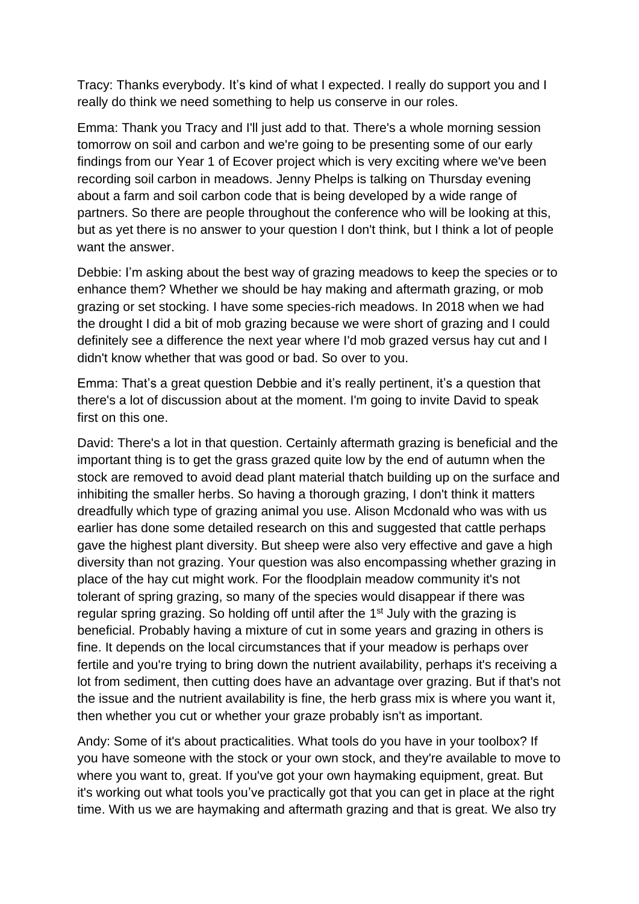Tracy: Thanks everybody. It's kind of what I expected. I really do support you and I really do think we need something to help us conserve in our roles.

Emma: Thank you Tracy and I'll just add to that. There's a whole morning session tomorrow on soil and carbon and we're going to be presenting some of our early findings from our Year 1 of Ecover project which is very exciting where we've been recording soil carbon in meadows. Jenny Phelps is talking on Thursday evening about a farm and soil carbon code that is being developed by a wide range of partners. So there are people throughout the conference who will be looking at this, but as yet there is no answer to your question I don't think, but I think a lot of people want the answer.

Debbie: I'm asking about the best way of grazing meadows to keep the species or to enhance them? Whether we should be hay making and aftermath grazing, or mob grazing or set stocking. I have some species-rich meadows. In 2018 when we had the drought I did a bit of mob grazing because we were short of grazing and I could definitely see a difference the next year where I'd mob grazed versus hay cut and I didn't know whether that was good or bad. So over to you.

Emma: That's a great question Debbie and it's really pertinent, it's a question that there's a lot of discussion about at the moment. I'm going to invite David to speak first on this one.

David: There's a lot in that question. Certainly aftermath grazing is beneficial and the important thing is to get the grass grazed quite low by the end of autumn when the stock are removed to avoid dead plant material thatch building up on the surface and inhibiting the smaller herbs. So having a thorough grazing, I don't think it matters dreadfully which type of grazing animal you use. Alison Mcdonald who was with us earlier has done some detailed research on this and suggested that cattle perhaps gave the highest plant diversity. But sheep were also very effective and gave a high diversity than not grazing. Your question was also encompassing whether grazing in place of the hay cut might work. For the floodplain meadow community it's not tolerant of spring grazing, so many of the species would disappear if there was regular spring grazing. So holding off until after the 1<sup>st</sup> July with the grazing is beneficial. Probably having a mixture of cut in some years and grazing in others is fine. It depends on the local circumstances that if your meadow is perhaps over fertile and you're trying to bring down the nutrient availability, perhaps it's receiving a lot from sediment, then cutting does have an advantage over grazing. But if that's not the issue and the nutrient availability is fine, the herb grass mix is where you want it, then whether you cut or whether your graze probably isn't as important.

Andy: Some of it's about practicalities. What tools do you have in your toolbox? If you have someone with the stock or your own stock, and they're available to move to where you want to, great. If you've got your own haymaking equipment, great. But it's working out what tools you've practically got that you can get in place at the right time. With us we are haymaking and aftermath grazing and that is great. We also try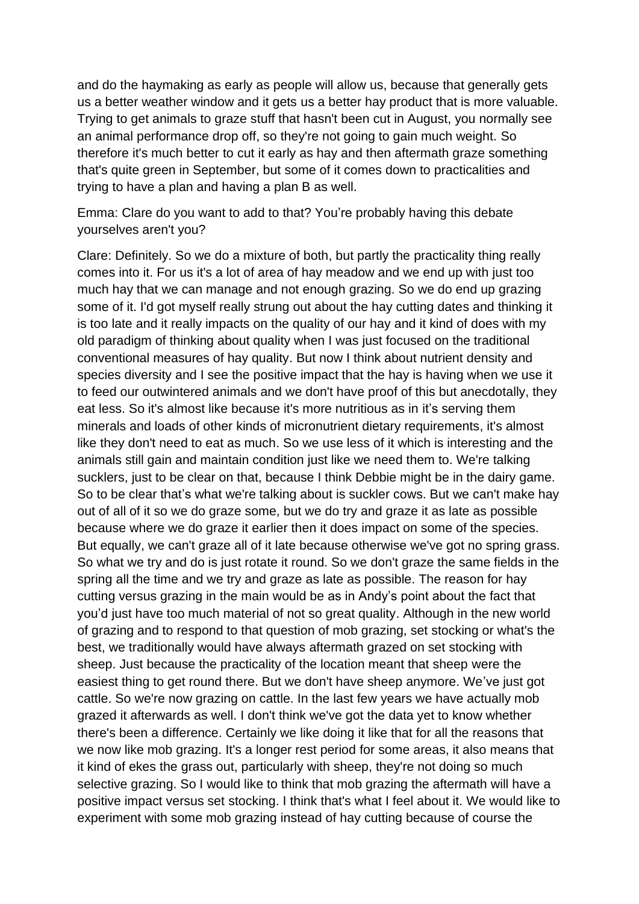and do the haymaking as early as people will allow us, because that generally gets us a better weather window and it gets us a better hay product that is more valuable. Trying to get animals to graze stuff that hasn't been cut in August, you normally see an animal performance drop off, so they're not going to gain much weight. So therefore it's much better to cut it early as hay and then aftermath graze something that's quite green in September, but some of it comes down to practicalities and trying to have a plan and having a plan B as well.

Emma: Clare do you want to add to that? You're probably having this debate yourselves aren't you?

Clare: Definitely. So we do a mixture of both, but partly the practicality thing really comes into it. For us it's a lot of area of hay meadow and we end up with just too much hay that we can manage and not enough grazing. So we do end up grazing some of it. I'd got myself really strung out about the hay cutting dates and thinking it is too late and it really impacts on the quality of our hay and it kind of does with my old paradigm of thinking about quality when I was just focused on the traditional conventional measures of hay quality. But now I think about nutrient density and species diversity and I see the positive impact that the hay is having when we use it to feed our outwintered animals and we don't have proof of this but anecdotally, they eat less. So it's almost like because it's more nutritious as in it's serving them minerals and loads of other kinds of micronutrient dietary requirements, it's almost like they don't need to eat as much. So we use less of it which is interesting and the animals still gain and maintain condition just like we need them to. We're talking sucklers, just to be clear on that, because I think Debbie might be in the dairy game. So to be clear that's what we're talking about is suckler cows. But we can't make hay out of all of it so we do graze some, but we do try and graze it as late as possible because where we do graze it earlier then it does impact on some of the species. But equally, we can't graze all of it late because otherwise we've got no spring grass. So what we try and do is just rotate it round. So we don't graze the same fields in the spring all the time and we try and graze as late as possible. The reason for hay cutting versus grazing in the main would be as in Andy's point about the fact that you'd just have too much material of not so great quality. Although in the new world of grazing and to respond to that question of mob grazing, set stocking or what's the best, we traditionally would have always aftermath grazed on set stocking with sheep. Just because the practicality of the location meant that sheep were the easiest thing to get round there. But we don't have sheep anymore. We've just got cattle. So we're now grazing on cattle. In the last few years we have actually mob grazed it afterwards as well. I don't think we've got the data yet to know whether there's been a difference. Certainly we like doing it like that for all the reasons that we now like mob grazing. It's a longer rest period for some areas, it also means that it kind of ekes the grass out, particularly with sheep, they're not doing so much selective grazing. So I would like to think that mob grazing the aftermath will have a positive impact versus set stocking. I think that's what I feel about it. We would like to experiment with some mob grazing instead of hay cutting because of course the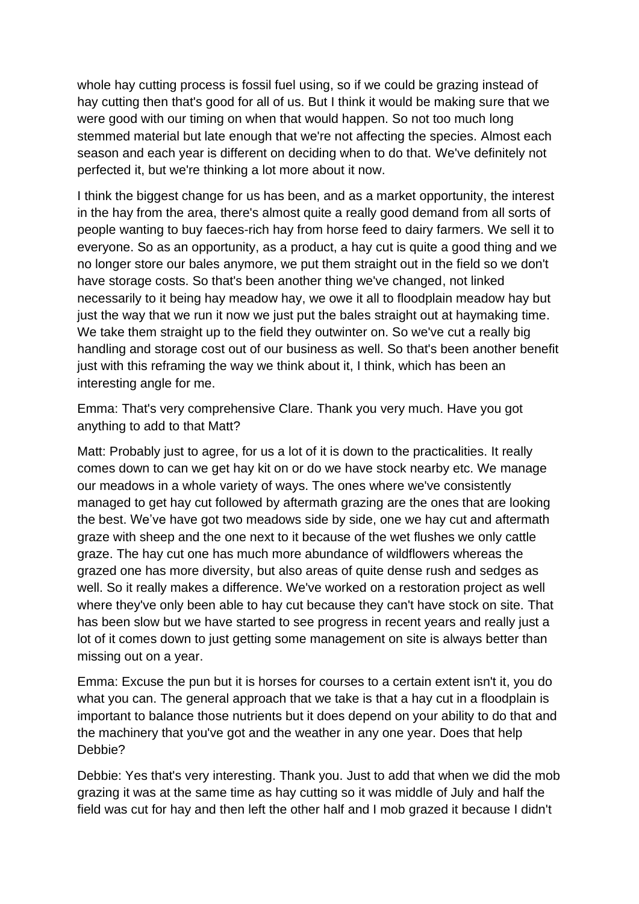whole hay cutting process is fossil fuel using, so if we could be grazing instead of hay cutting then that's good for all of us. But I think it would be making sure that we were good with our timing on when that would happen. So not too much long stemmed material but late enough that we're not affecting the species. Almost each season and each year is different on deciding when to do that. We've definitely not perfected it, but we're thinking a lot more about it now.

I think the biggest change for us has been, and as a market opportunity, the interest in the hay from the area, there's almost quite a really good demand from all sorts of people wanting to buy faeces-rich hay from horse feed to dairy farmers. We sell it to everyone. So as an opportunity, as a product, a hay cut is quite a good thing and we no longer store our bales anymore, we put them straight out in the field so we don't have storage costs. So that's been another thing we've changed, not linked necessarily to it being hay meadow hay, we owe it all to floodplain meadow hay but just the way that we run it now we just put the bales straight out at haymaking time. We take them straight up to the field they outwinter on. So we've cut a really big handling and storage cost out of our business as well. So that's been another benefit just with this reframing the way we think about it, I think, which has been an interesting angle for me.

Emma: That's very comprehensive Clare. Thank you very much. Have you got anything to add to that Matt?

Matt: Probably just to agree, for us a lot of it is down to the practicalities. It really comes down to can we get hay kit on or do we have stock nearby etc. We manage our meadows in a whole variety of ways. The ones where we've consistently managed to get hay cut followed by aftermath grazing are the ones that are looking the best. We've have got two meadows side by side, one we hay cut and aftermath graze with sheep and the one next to it because of the wet flushes we only cattle graze. The hay cut one has much more abundance of wildflowers whereas the grazed one has more diversity, but also areas of quite dense rush and sedges as well. So it really makes a difference. We've worked on a restoration project as well where they've only been able to hay cut because they can't have stock on site. That has been slow but we have started to see progress in recent years and really just a lot of it comes down to just getting some management on site is always better than missing out on a year.

Emma: Excuse the pun but it is horses for courses to a certain extent isn't it, you do what you can. The general approach that we take is that a hay cut in a floodplain is important to balance those nutrients but it does depend on your ability to do that and the machinery that you've got and the weather in any one year. Does that help Debbie?

Debbie: Yes that's very interesting. Thank you. Just to add that when we did the mob grazing it was at the same time as hay cutting so it was middle of July and half the field was cut for hay and then left the other half and I mob grazed it because I didn't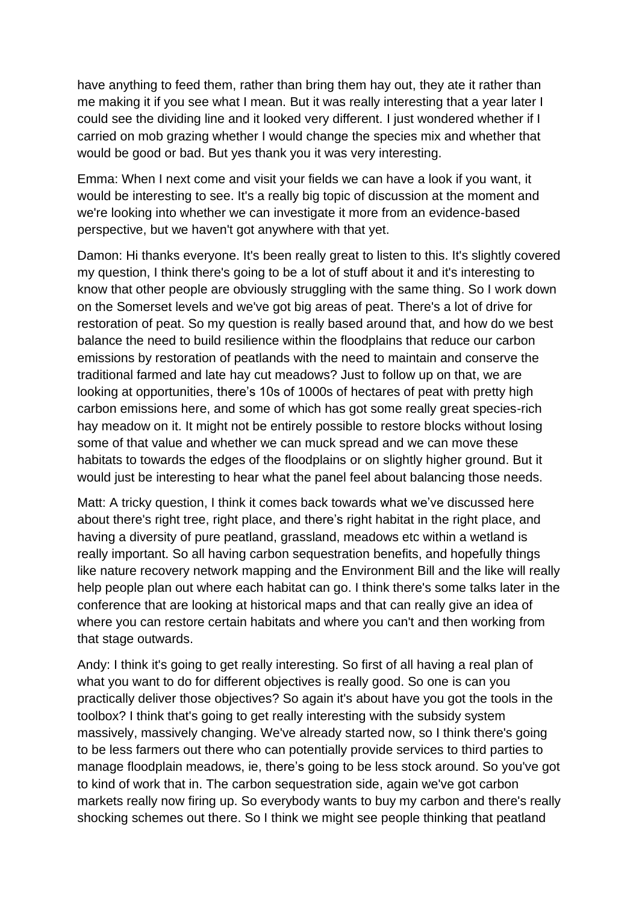have anything to feed them, rather than bring them hay out, they ate it rather than me making it if you see what I mean. But it was really interesting that a year later I could see the dividing line and it looked very different. I just wondered whether if I carried on mob grazing whether I would change the species mix and whether that would be good or bad. But yes thank you it was very interesting.

Emma: When I next come and visit your fields we can have a look if you want, it would be interesting to see. It's a really big topic of discussion at the moment and we're looking into whether we can investigate it more from an evidence-based perspective, but we haven't got anywhere with that yet.

Damon: Hi thanks everyone. It's been really great to listen to this. It's slightly covered my question, I think there's going to be a lot of stuff about it and it's interesting to know that other people are obviously struggling with the same thing. So I work down on the Somerset levels and we've got big areas of peat. There's a lot of drive for restoration of peat. So my question is really based around that, and how do we best balance the need to build resilience within the floodplains that reduce our carbon emissions by restoration of peatlands with the need to maintain and conserve the traditional farmed and late hay cut meadows? Just to follow up on that, we are looking at opportunities, there's 10s of 1000s of hectares of peat with pretty high carbon emissions here, and some of which has got some really great species-rich hay meadow on it. It might not be entirely possible to restore blocks without losing some of that value and whether we can muck spread and we can move these habitats to towards the edges of the floodplains or on slightly higher ground. But it would just be interesting to hear what the panel feel about balancing those needs.

Matt: A tricky question, I think it comes back towards what we've discussed here about there's right tree, right place, and there's right habitat in the right place, and having a diversity of pure peatland, grassland, meadows etc within a wetland is really important. So all having carbon sequestration benefits, and hopefully things like nature recovery network mapping and the Environment Bill and the like will really help people plan out where each habitat can go. I think there's some talks later in the conference that are looking at historical maps and that can really give an idea of where you can restore certain habitats and where you can't and then working from that stage outwards.

Andy: I think it's going to get really interesting. So first of all having a real plan of what you want to do for different objectives is really good. So one is can you practically deliver those objectives? So again it's about have you got the tools in the toolbox? I think that's going to get really interesting with the subsidy system massively, massively changing. We've already started now, so I think there's going to be less farmers out there who can potentially provide services to third parties to manage floodplain meadows, ie, there's going to be less stock around. So you've got to kind of work that in. The carbon sequestration side, again we've got carbon markets really now firing up. So everybody wants to buy my carbon and there's really shocking schemes out there. So I think we might see people thinking that peatland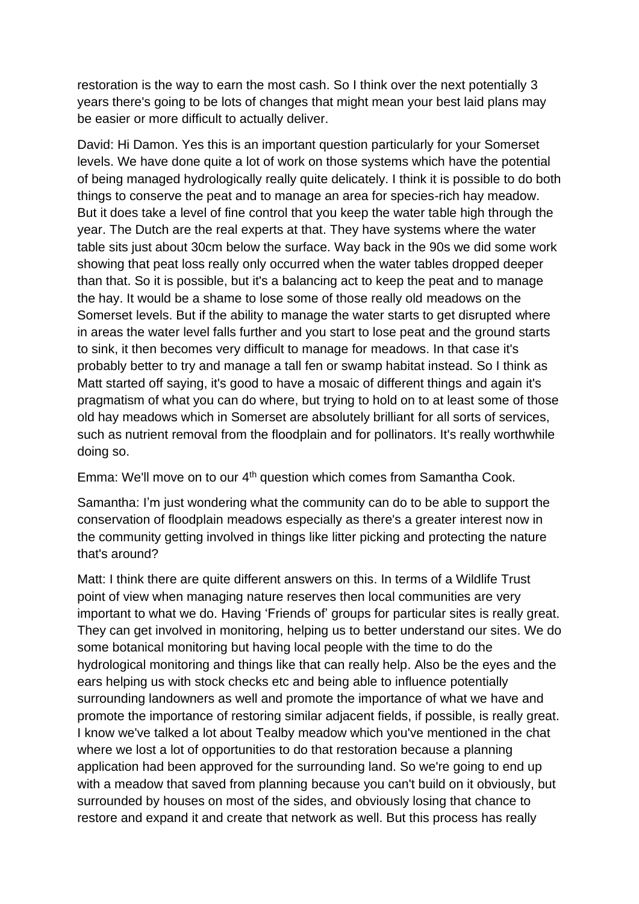restoration is the way to earn the most cash. So I think over the next potentially 3 years there's going to be lots of changes that might mean your best laid plans may be easier or more difficult to actually deliver.

David: Hi Damon. Yes this is an important question particularly for your Somerset levels. We have done quite a lot of work on those systems which have the potential of being managed hydrologically really quite delicately. I think it is possible to do both things to conserve the peat and to manage an area for species-rich hay meadow. But it does take a level of fine control that you keep the water table high through the year. The Dutch are the real experts at that. They have systems where the water table sits just about 30cm below the surface. Way back in the 90s we did some work showing that peat loss really only occurred when the water tables dropped deeper than that. So it is possible, but it's a balancing act to keep the peat and to manage the hay. It would be a shame to lose some of those really old meadows on the Somerset levels. But if the ability to manage the water starts to get disrupted where in areas the water level falls further and you start to lose peat and the ground starts to sink, it then becomes very difficult to manage for meadows. In that case it's probably better to try and manage a tall fen or swamp habitat instead. So I think as Matt started off saying, it's good to have a mosaic of different things and again it's pragmatism of what you can do where, but trying to hold on to at least some of those old hay meadows which in Somerset are absolutely brilliant for all sorts of services, such as nutrient removal from the floodplain and for pollinators. It's really worthwhile doing so.

Emma: We'll move on to our 4<sup>th</sup> question which comes from Samantha Cook.

Samantha: I'm just wondering what the community can do to be able to support the conservation of floodplain meadows especially as there's a greater interest now in the community getting involved in things like litter picking and protecting the nature that's around?

Matt: I think there are quite different answers on this. In terms of a Wildlife Trust point of view when managing nature reserves then local communities are very important to what we do. Having 'Friends of' groups for particular sites is really great. They can get involved in monitoring, helping us to better understand our sites. We do some botanical monitoring but having local people with the time to do the hydrological monitoring and things like that can really help. Also be the eyes and the ears helping us with stock checks etc and being able to influence potentially surrounding landowners as well and promote the importance of what we have and promote the importance of restoring similar adjacent fields, if possible, is really great. I know we've talked a lot about Tealby meadow which you've mentioned in the chat where we lost a lot of opportunities to do that restoration because a planning application had been approved for the surrounding land. So we're going to end up with a meadow that saved from planning because you can't build on it obviously, but surrounded by houses on most of the sides, and obviously losing that chance to restore and expand it and create that network as well. But this process has really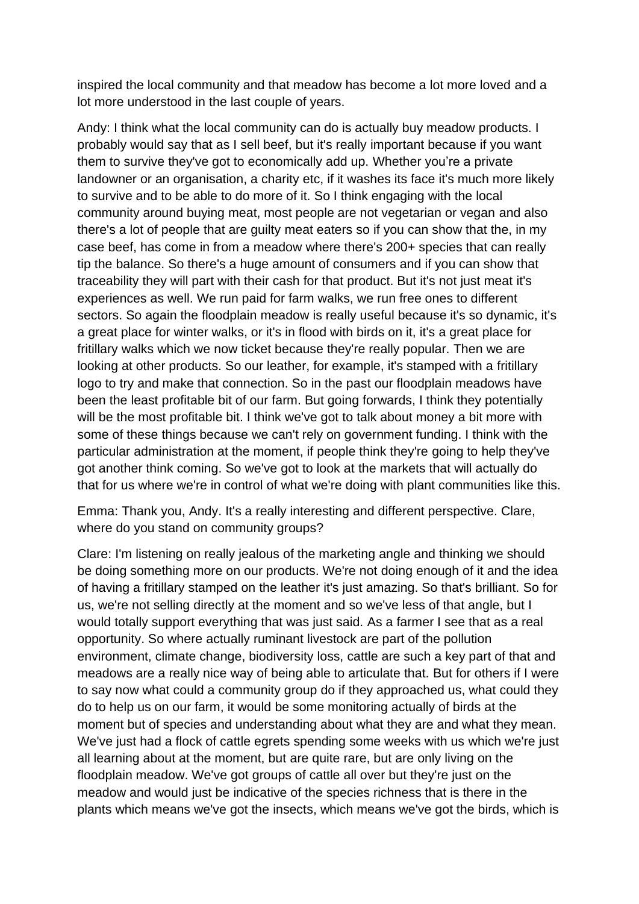inspired the local community and that meadow has become a lot more loved and a lot more understood in the last couple of years.

Andy: I think what the local community can do is actually buy meadow products. I probably would say that as I sell beef, but it's really important because if you want them to survive they've got to economically add up. Whether you're a private landowner or an organisation, a charity etc, if it washes its face it's much more likely to survive and to be able to do more of it. So I think engaging with the local community around buying meat, most people are not vegetarian or vegan and also there's a lot of people that are guilty meat eaters so if you can show that the, in my case beef, has come in from a meadow where there's 200+ species that can really tip the balance. So there's a huge amount of consumers and if you can show that traceability they will part with their cash for that product. But it's not just meat it's experiences as well. We run paid for farm walks, we run free ones to different sectors. So again the floodplain meadow is really useful because it's so dynamic, it's a great place for winter walks, or it's in flood with birds on it, it's a great place for fritillary walks which we now ticket because they're really popular. Then we are looking at other products. So our leather, for example, it's stamped with a fritillary logo to try and make that connection. So in the past our floodplain meadows have been the least profitable bit of our farm. But going forwards, I think they potentially will be the most profitable bit. I think we've got to talk about money a bit more with some of these things because we can't rely on government funding. I think with the particular administration at the moment, if people think they're going to help they've got another think coming. So we've got to look at the markets that will actually do that for us where we're in control of what we're doing with plant communities like this.

Emma: Thank you, Andy. It's a really interesting and different perspective. Clare, where do you stand on community groups?

Clare: I'm listening on really jealous of the marketing angle and thinking we should be doing something more on our products. We're not doing enough of it and the idea of having a fritillary stamped on the leather it's just amazing. So that's brilliant. So for us, we're not selling directly at the moment and so we've less of that angle, but I would totally support everything that was just said. As a farmer I see that as a real opportunity. So where actually ruminant livestock are part of the pollution environment, climate change, biodiversity loss, cattle are such a key part of that and meadows are a really nice way of being able to articulate that. But for others if I were to say now what could a community group do if they approached us, what could they do to help us on our farm, it would be some monitoring actually of birds at the moment but of species and understanding about what they are and what they mean. We've just had a flock of cattle egrets spending some weeks with us which we're just all learning about at the moment, but are quite rare, but are only living on the floodplain meadow. We've got groups of cattle all over but they're just on the meadow and would just be indicative of the species richness that is there in the plants which means we've got the insects, which means we've got the birds, which is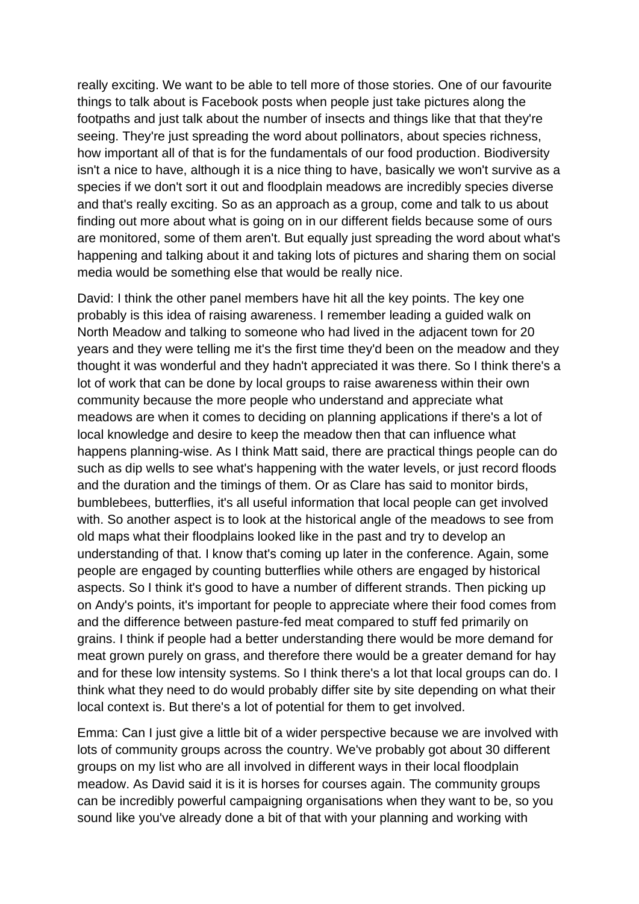really exciting. We want to be able to tell more of those stories. One of our favourite things to talk about is Facebook posts when people just take pictures along the footpaths and just talk about the number of insects and things like that that they're seeing. They're just spreading the word about pollinators, about species richness, how important all of that is for the fundamentals of our food production. Biodiversity isn't a nice to have, although it is a nice thing to have, basically we won't survive as a species if we don't sort it out and floodplain meadows are incredibly species diverse and that's really exciting. So as an approach as a group, come and talk to us about finding out more about what is going on in our different fields because some of ours are monitored, some of them aren't. But equally just spreading the word about what's happening and talking about it and taking lots of pictures and sharing them on social media would be something else that would be really nice.

David: I think the other panel members have hit all the key points. The key one probably is this idea of raising awareness. I remember leading a guided walk on North Meadow and talking to someone who had lived in the adjacent town for 20 years and they were telling me it's the first time they'd been on the meadow and they thought it was wonderful and they hadn't appreciated it was there. So I think there's a lot of work that can be done by local groups to raise awareness within their own community because the more people who understand and appreciate what meadows are when it comes to deciding on planning applications if there's a lot of local knowledge and desire to keep the meadow then that can influence what happens planning-wise. As I think Matt said, there are practical things people can do such as dip wells to see what's happening with the water levels, or just record floods and the duration and the timings of them. Or as Clare has said to monitor birds, bumblebees, butterflies, it's all useful information that local people can get involved with. So another aspect is to look at the historical angle of the meadows to see from old maps what their floodplains looked like in the past and try to develop an understanding of that. I know that's coming up later in the conference. Again, some people are engaged by counting butterflies while others are engaged by historical aspects. So I think it's good to have a number of different strands. Then picking up on Andy's points, it's important for people to appreciate where their food comes from and the difference between pasture-fed meat compared to stuff fed primarily on grains. I think if people had a better understanding there would be more demand for meat grown purely on grass, and therefore there would be a greater demand for hay and for these low intensity systems. So I think there's a lot that local groups can do. I think what they need to do would probably differ site by site depending on what their local context is. But there's a lot of potential for them to get involved.

Emma: Can I just give a little bit of a wider perspective because we are involved with lots of community groups across the country. We've probably got about 30 different groups on my list who are all involved in different ways in their local floodplain meadow. As David said it is it is horses for courses again. The community groups can be incredibly powerful campaigning organisations when they want to be, so you sound like you've already done a bit of that with your planning and working with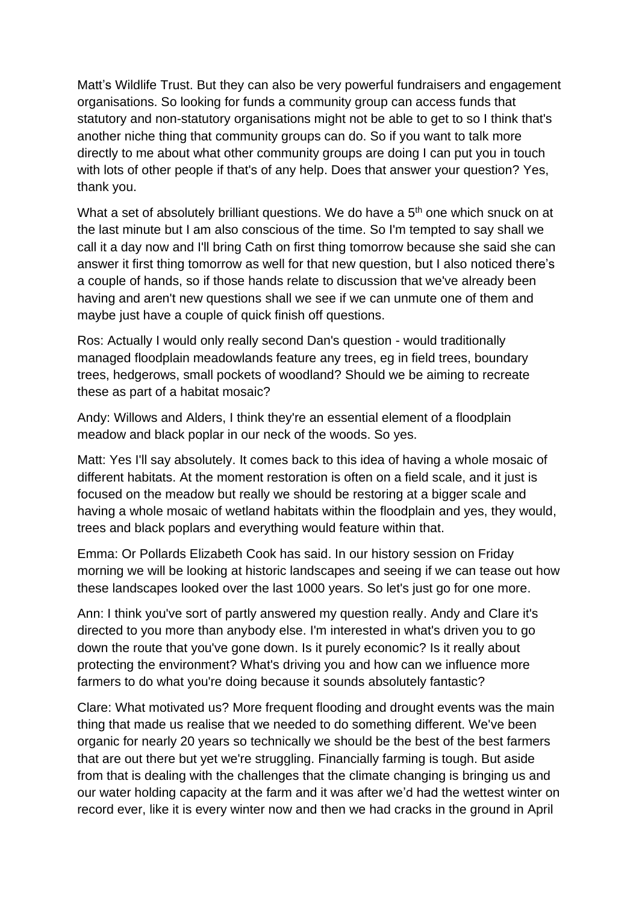Matt's Wildlife Trust. But they can also be very powerful fundraisers and engagement organisations. So looking for funds a community group can access funds that statutory and non-statutory organisations might not be able to get to so I think that's another niche thing that community groups can do. So if you want to talk more directly to me about what other community groups are doing I can put you in touch with lots of other people if that's of any help. Does that answer your question? Yes, thank you.

What a set of absolutely brilliant questions. We do have a 5<sup>th</sup> one which snuck on at the last minute but I am also conscious of the time. So I'm tempted to say shall we call it a day now and I'll bring Cath on first thing tomorrow because she said she can answer it first thing tomorrow as well for that new question, but I also noticed there's a couple of hands, so if those hands relate to discussion that we've already been having and aren't new questions shall we see if we can unmute one of them and maybe just have a couple of quick finish off questions.

Ros: Actually I would only really second Dan's question - would traditionally managed floodplain meadowlands feature any trees, eg in field trees, boundary trees, hedgerows, small pockets of woodland? Should we be aiming to recreate these as part of a habitat mosaic?

Andy: Willows and Alders, I think they're an essential element of a floodplain meadow and black poplar in our neck of the woods. So yes.

Matt: Yes I'll say absolutely. It comes back to this idea of having a whole mosaic of different habitats. At the moment restoration is often on a field scale, and it just is focused on the meadow but really we should be restoring at a bigger scale and having a whole mosaic of wetland habitats within the floodplain and yes, they would, trees and black poplars and everything would feature within that.

Emma: Or Pollards Elizabeth Cook has said. In our history session on Friday morning we will be looking at historic landscapes and seeing if we can tease out how these landscapes looked over the last 1000 years. So let's just go for one more.

Ann: I think you've sort of partly answered my question really. Andy and Clare it's directed to you more than anybody else. I'm interested in what's driven you to go down the route that you've gone down. Is it purely economic? Is it really about protecting the environment? What's driving you and how can we influence more farmers to do what you're doing because it sounds absolutely fantastic?

Clare: What motivated us? More frequent flooding and drought events was the main thing that made us realise that we needed to do something different. We've been organic for nearly 20 years so technically we should be the best of the best farmers that are out there but yet we're struggling. Financially farming is tough. But aside from that is dealing with the challenges that the climate changing is bringing us and our water holding capacity at the farm and it was after we'd had the wettest winter on record ever, like it is every winter now and then we had cracks in the ground in April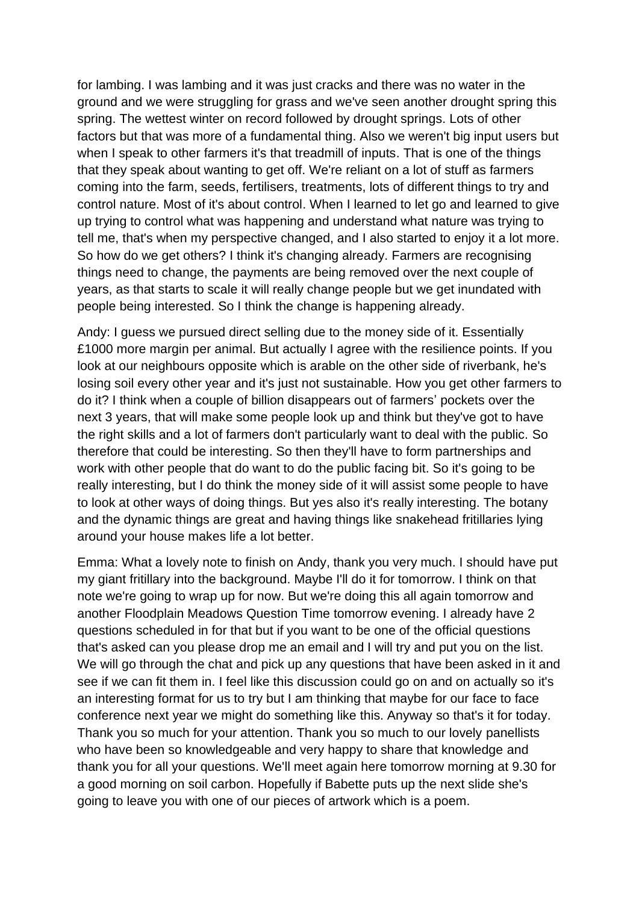for lambing. I was lambing and it was just cracks and there was no water in the ground and we were struggling for grass and we've seen another drought spring this spring. The wettest winter on record followed by drought springs. Lots of other factors but that was more of a fundamental thing. Also we weren't big input users but when I speak to other farmers it's that treadmill of inputs. That is one of the things that they speak about wanting to get off. We're reliant on a lot of stuff as farmers coming into the farm, seeds, fertilisers, treatments, lots of different things to try and control nature. Most of it's about control. When I learned to let go and learned to give up trying to control what was happening and understand what nature was trying to tell me, that's when my perspective changed, and I also started to enjoy it a lot more. So how do we get others? I think it's changing already. Farmers are recognising things need to change, the payments are being removed over the next couple of years, as that starts to scale it will really change people but we get inundated with people being interested. So I think the change is happening already.

Andy: I guess we pursued direct selling due to the money side of it. Essentially £1000 more margin per animal. But actually I agree with the resilience points. If you look at our neighbours opposite which is arable on the other side of riverbank, he's losing soil every other year and it's just not sustainable. How you get other farmers to do it? I think when a couple of billion disappears out of farmers' pockets over the next 3 years, that will make some people look up and think but they've got to have the right skills and a lot of farmers don't particularly want to deal with the public. So therefore that could be interesting. So then they'll have to form partnerships and work with other people that do want to do the public facing bit. So it's going to be really interesting, but I do think the money side of it will assist some people to have to look at other ways of doing things. But yes also it's really interesting. The botany and the dynamic things are great and having things like snakehead fritillaries lying around your house makes life a lot better.

Emma: What a lovely note to finish on Andy, thank you very much. I should have put my giant fritillary into the background. Maybe I'll do it for tomorrow. I think on that note we're going to wrap up for now. But we're doing this all again tomorrow and another Floodplain Meadows Question Time tomorrow evening. I already have 2 questions scheduled in for that but if you want to be one of the official questions that's asked can you please drop me an email and I will try and put you on the list. We will go through the chat and pick up any questions that have been asked in it and see if we can fit them in. I feel like this discussion could go on and on actually so it's an interesting format for us to try but I am thinking that maybe for our face to face conference next year we might do something like this. Anyway so that's it for today. Thank you so much for your attention. Thank you so much to our lovely panellists who have been so knowledgeable and very happy to share that knowledge and thank you for all your questions. We'll meet again here tomorrow morning at 9.30 for a good morning on soil carbon. Hopefully if Babette puts up the next slide she's going to leave you with one of our pieces of artwork which is a poem.